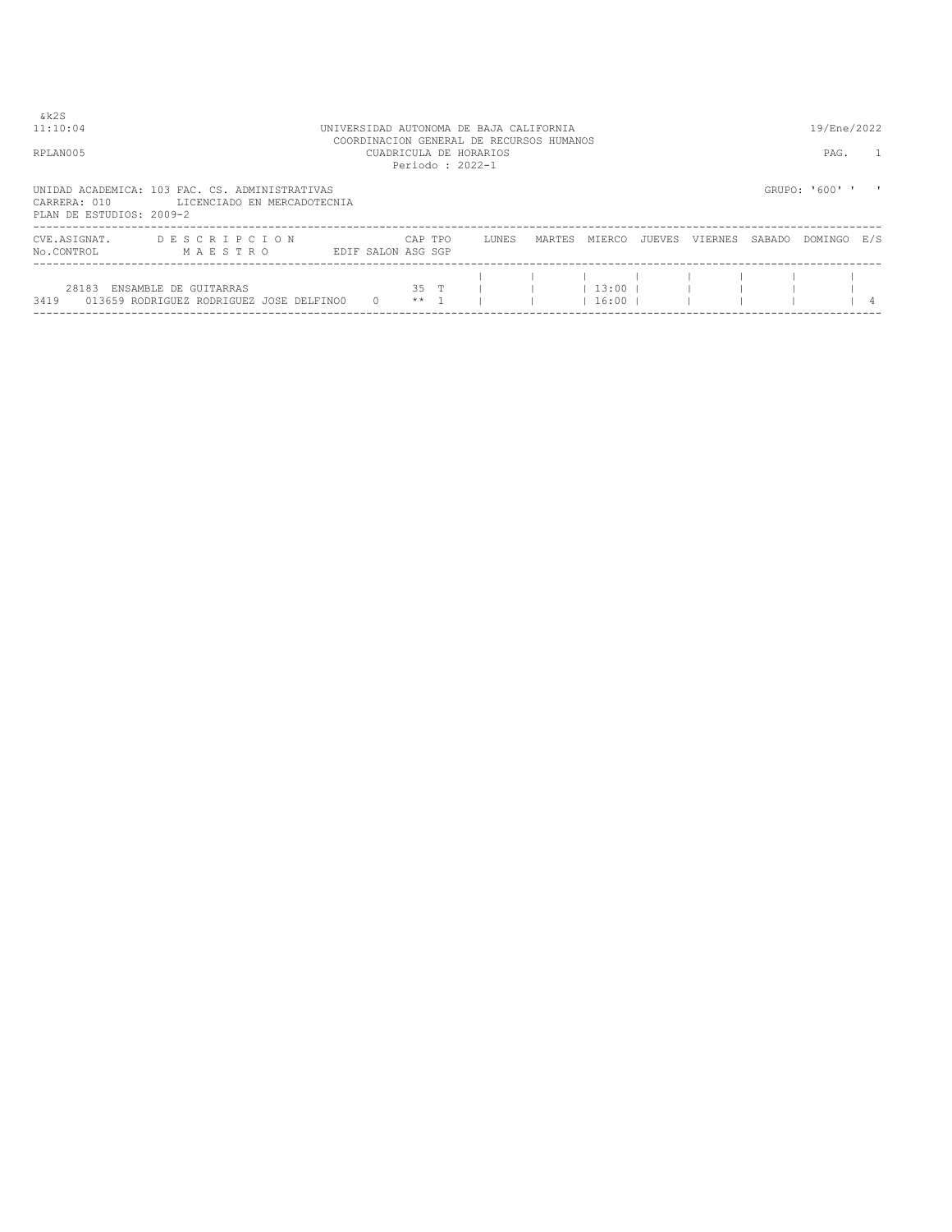| & k 2 S<br>11:10:04                      | UNIVERSIDAD AUTONOMA DE BAJA CALIFORNIA                                       |                    |                 | 19/Ene/2022                                                                           |        |                      |        |         |        |                |     |
|------------------------------------------|-------------------------------------------------------------------------------|--------------------|-----------------|---------------------------------------------------------------------------------------|--------|----------------------|--------|---------|--------|----------------|-----|
| RPLAN005                                 |                                                                               |                    |                 | COORDINACION GENERAL DE RECURSOS HUMANOS<br>CUADRICULA DE HORARIOS<br>Periodo: 2022-1 |        |                      |        |         |        | PAG.           |     |
| CARRERA: 010<br>PLAN DE ESTUDIOS: 2009-2 | UNIDAD ACADEMICA: 103 FAC. CS. ADMINISTRATIVAS<br>LICENCIADO EN MERCADOTECNIA |                    |                 |                                                                                       |        |                      |        |         |        | GRUPO: '600' ' |     |
| CVE.ASIGNAT.<br>No.CONTROL               | DESCRIPCION<br>MAESTRO                                                        | EDIF SALON ASG SGP | CAP TPO         | LUNES                                                                                 | MARTES | MIERCO               | JUEVES | VIERNES | SABADO | DOMINGO        | E/S |
| 28183<br>3419                            | ENSAMBLE DE GUITARRAS<br>013659 RODRIGUEZ RODRIGUEZ JOSE DELFINO0             | $\Omega$           | 35 T<br>$***$ 1 |                                                                                       |        | $13:00$  <br>$16:00$ |        |         |        |                |     |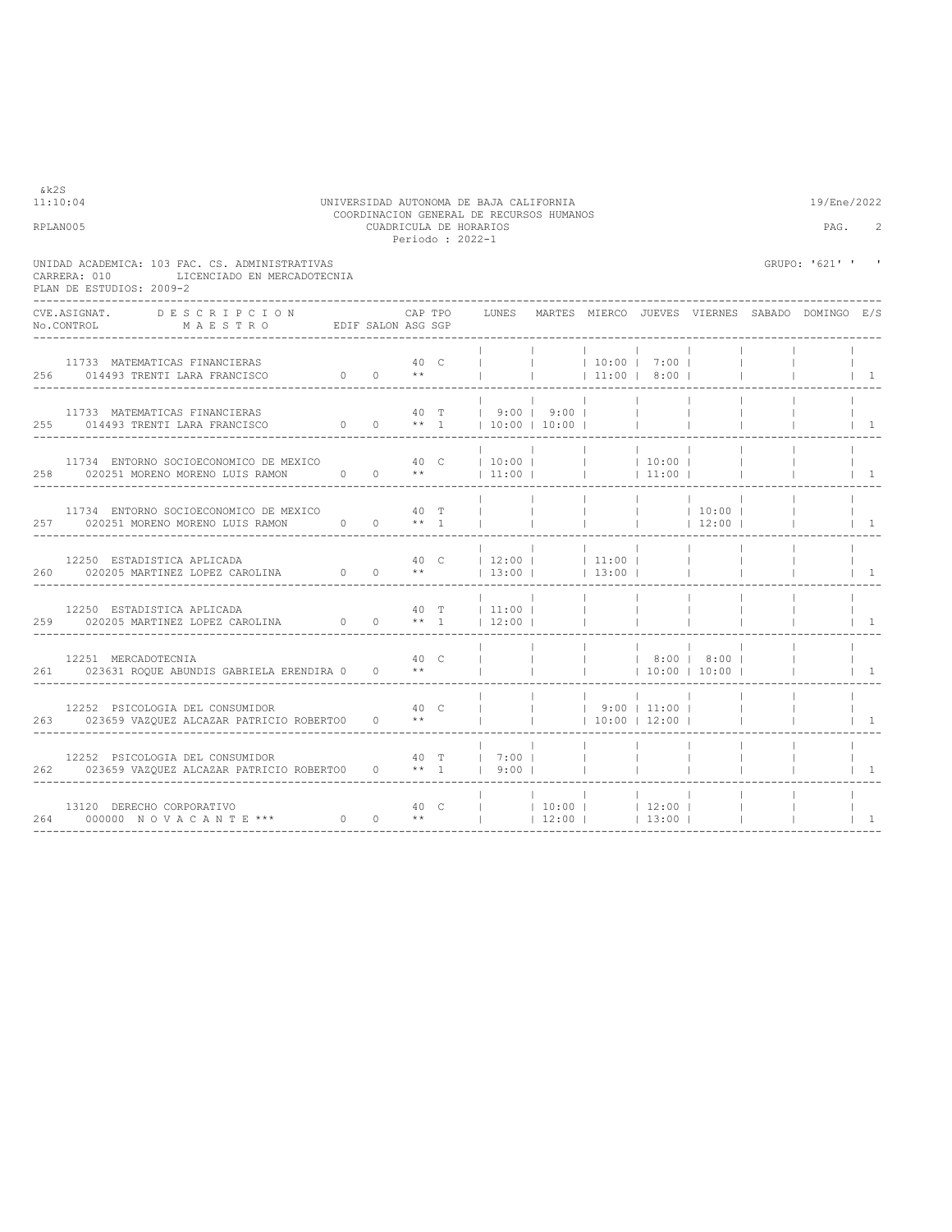| 11:10:04<br>RPLAN005                                                                                                                                                                                                          | UNIVERSIDAD AUTONOMA DE BAJA CALIFORNIA | COORDINACION GENERAL DE RECURSOS HUMANOS<br>CUADRICULA DE HORARIOS | Periodo : 2022-1 |                        |                                                                                                                                    | 19/Ene/2022<br>PAG. | 2                                    |              |                                    |                        |                                                       |                                         |
|-------------------------------------------------------------------------------------------------------------------------------------------------------------------------------------------------------------------------------|-----------------------------------------|--------------------------------------------------------------------|------------------|------------------------|------------------------------------------------------------------------------------------------------------------------------------|---------------------|--------------------------------------|--------------|------------------------------------|------------------------|-------------------------------------------------------|-----------------------------------------|
| UNIDAD ACADEMICA: 103 FAC. CS. ADMINISTRATIVAS<br>LICENCIADO EN MERCADOTECNIA<br>CARRERA: 010<br>PLAN DE ESTUDIOS: 2009-2                                                                                                     |                                         |                                                                    |                  |                        |                                                                                                                                    |                     |                                      |              |                                    |                        | GRUPO: '621' '                                        | $\blacksquare$                          |
| CVE.ASIGNAT.<br>DESCRIPCION<br>No.CONTROL MAESTRO EDIF SALON ASG SGP                                                                                                                                                          |                                         |                                                                    | CAP TPO          |                        |                                                                                                                                    |                     |                                      |              |                                    |                        | LUNES MARTES MIERCO JUEVES VIERNES SABADO DOMINGO E/S |                                         |
| 11733 MATEMATICAS FINANCIERAS<br>256 014493 TRENTI LARA FRANCISCO $0 \times *$                                                                                                                                                |                                         |                                                                    | 40 C             |                        |                                                                                                                                    |                     | $10:00$ $7:00$ $1$<br>$ $ 11:00 8:00 |              |                                    |                        |                                                       | $\vert$ $\vert$ $\vert$ $\vert$         |
| 11733 MATEMATICAS FINANCIERAS 40 T   9:00   9:00         255 014493 TRENTI LARA FRANCISCO $0$ 0 ** 1   10:00   10:00                                                                                                          |                                         |                                                                    |                  |                        |                                                                                                                                    |                     |                                      |              |                                    |                        |                                                       | $\vert$ 1                               |
|                                                                                                                                                                                                                               |                                         |                                                                    |                  |                        |                                                                                                                                    |                     |                                      |              |                                    |                        |                                                       | $\begin{array}{cc} 1 & 1 \end{array}$   |
| 11734 ENTORNO SOCIOECONOMICO DE MEXICO 60 40 T<br>257 020251 MORENO MORENO LUIS RAMON 0 0 ** 1                                                                                                                                |                                         |                                                                    |                  |                        |                                                                                                                                    |                     |                                      |              | $ $ 10:00                          |                        |                                                       | $\begin{array}{ccc} & 1 \\ \end{array}$ |
| $\begin{tabular}{cccccccccc} 12250 & ESTADISTICA APLICADA & & & & & & 40 & C & & 12:00 & & & & 11:00 & \\ 260 & 020205 & MARTINEZ & LOPEZ & CAROLINA & & & & & & & & & 13:00 & & & & 13:00 & \\ \end{tabular}$                |                                         |                                                                    |                  |                        | $\frac{1}{12:00}$ 11:00                                                                                                            |                     |                                      |              | <b>College</b>                     |                        |                                                       | $\begin{array}{cc} \end{array}$         |
| $\begin{array}{cccccccccccc} 12250 & \texttt{ESTADISTICA APLICADA} & & & & 40 & \texttt{T} &   & 11:00 &   \\ 259 & 020205 & \texttt{MARTINEZ LOPEZ CAROLINA} & & & 0 & 0 & & \star \star & 1 &   & 12:00 &   \\ \end{array}$ |                                         |                                                                    |                  |                        | 40 T   11:00                                                                                                                       |                     | <b>Contract Contract</b>             | $\Box$       |                                    |                        |                                                       | $\overline{1}$                          |
| 12251 MERCADOTECNIA<br>261 023631 ROOUE ABUNDIS GABRIELA ERENDIRA 0<br>-----------------------------------                                                                                                                    |                                         | 40 <sup>°</sup>                                                    |                  | $0 \longrightarrow$ ** |                                                                                                                                    | <b>Contractor</b>   |                                      |              | 8:00   8:00  <br>$ $ 10:00   10:00 |                        |                                                       | $\vert$ 1                               |
| 12252 PSICOLOGIA DEL CONSUMIDOR<br>$\begin{array}{ccc} 40 & C & \vert \\ 263 & 023659 & \mathrm{VAZQUEZ ALCAZAR} \end{array}$ PATRICIO ROBERTO<br>0 $\begin{array}{ccc} 0 & \star \star & \vert \\ \end{array}$               |                                         |                                                                    |                  |                        | $\begin{array}{cccccccccccc}   & &   & &   & &   & 9:00 &   & 11:00 &   \\   & &   & &   & & 10:00 &   & 12:00 &   \\ \end{array}$ |                     |                                      |              |                                    |                        |                                                       | $1 \quad 1$                             |
| 12252 PSICOLOGIA DEL CONSUMIDOR 40 T   7:00    <br>262 023659 VAZQUEZ ALCAZAR PATRICIO ROBERTOO 0 ** 1   9:00                                                                                                                 |                                         |                                                                    |                  |                        |                                                                                                                                    |                     |                                      | $\sim$ 1.000 |                                    |                        |                                                       | $1 \quad 1$                             |
| --------------------------------                                                                                                                                                                                              |                                         |                                                                    |                  |                        |                                                                                                                                    |                     |                                      |              |                                    | <b>College College</b> | $\sim$ 1.000 $\sim$                                   | $\begin{array}{cc} \end{array}$         |

&k2S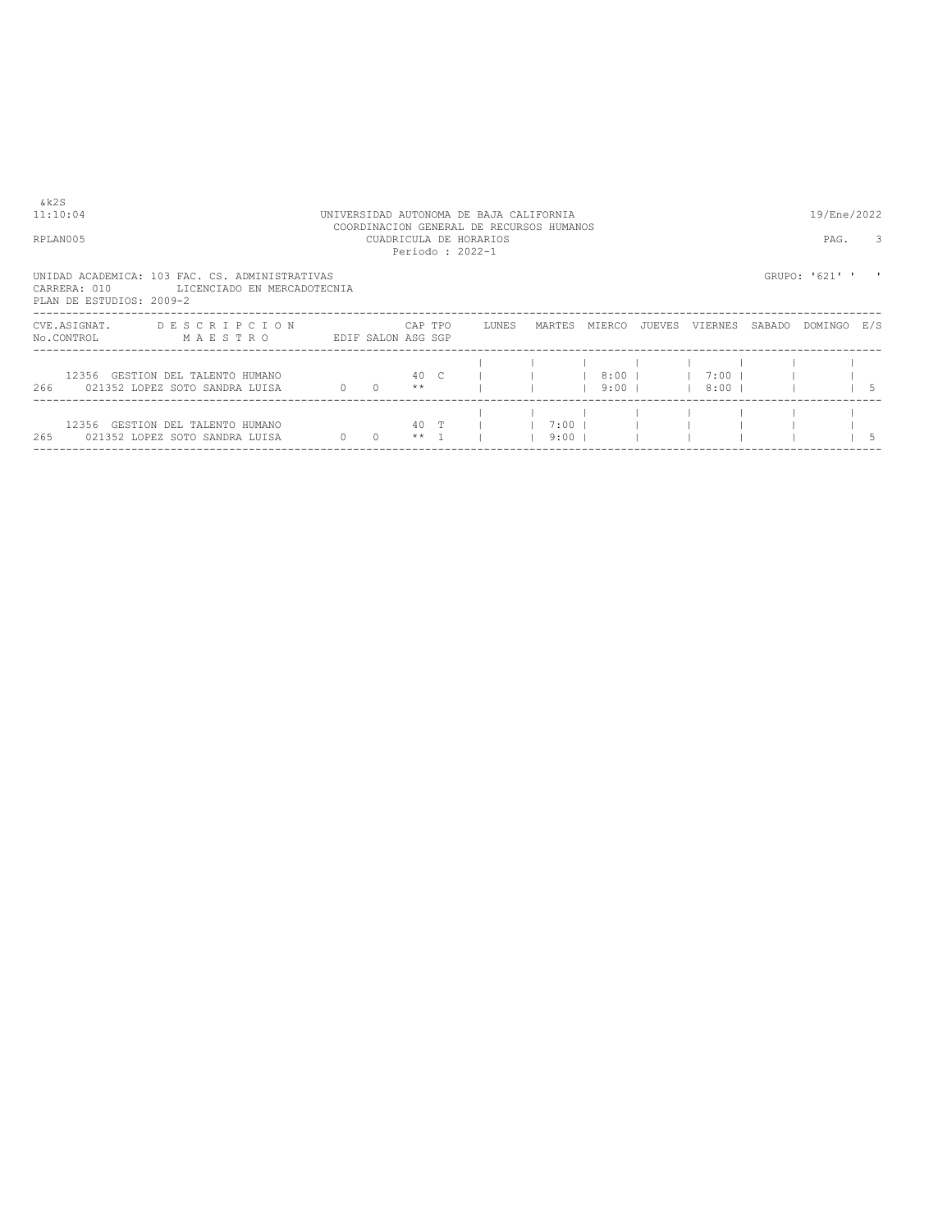| &k2S<br>11:10:04<br>RPLAN005             |                                                                               |                        |          |         |         | UNIVERSIDAD AUTONOMA DE BAJA CALIFORNIA<br>COORDINACION GENERAL DE RECURSOS HUMANOS<br>CUADRICULA DE HORARIOS<br>Periodo: 2022-1 |                    |                    |        |                          |        | 19/Ene/2022<br>PAG. | 3 |
|------------------------------------------|-------------------------------------------------------------------------------|------------------------|----------|---------|---------|----------------------------------------------------------------------------------------------------------------------------------|--------------------|--------------------|--------|--------------------------|--------|---------------------|---|
| CARRERA: 010<br>PLAN DE ESTUDIOS: 2009-2 | UNIDAD ACADEMICA: 103 FAC. CS. ADMINISTRATIVAS<br>LICENCIADO EN MERCADOTECNIA |                        |          |         |         |                                                                                                                                  |                    |                    |        |                          |        | GRUPO: '621' '      |   |
| CVE.ASIGNAT.<br>No.CONTROL               | DESCRIPCION<br>MAESTRO                                                        | EDIF SALON ASG SGP     |          |         | CAP TPO | LUNES                                                                                                                            | MARTES             | MIERCO             | JUEVES | VIERNES                  | SABADO | DOMINGO E/S         |   |
|                                          | 12356 GESTION DEL TALENTO HUMANO<br>266 021352 LOPEZ SOTO SANDRA LUISA        | $0 \t 0 \t \star\star$ |          |         |         | 40 C I                                                                                                                           |                    | $8:00$  <br>$9:00$ |        | $1 \t7:00 \t1$<br>  8:00 |        |                     |   |
|                                          | 12356 GESTION DEL TALENTO HUMANO<br>265 021352 LOPEZ SOTO SANDRA LUISA        | $\circ$                | $\Omega$ | $***$ 1 | 40 T    |                                                                                                                                  | $7:00$  <br>$9:00$ |                    |        |                          |        |                     |   |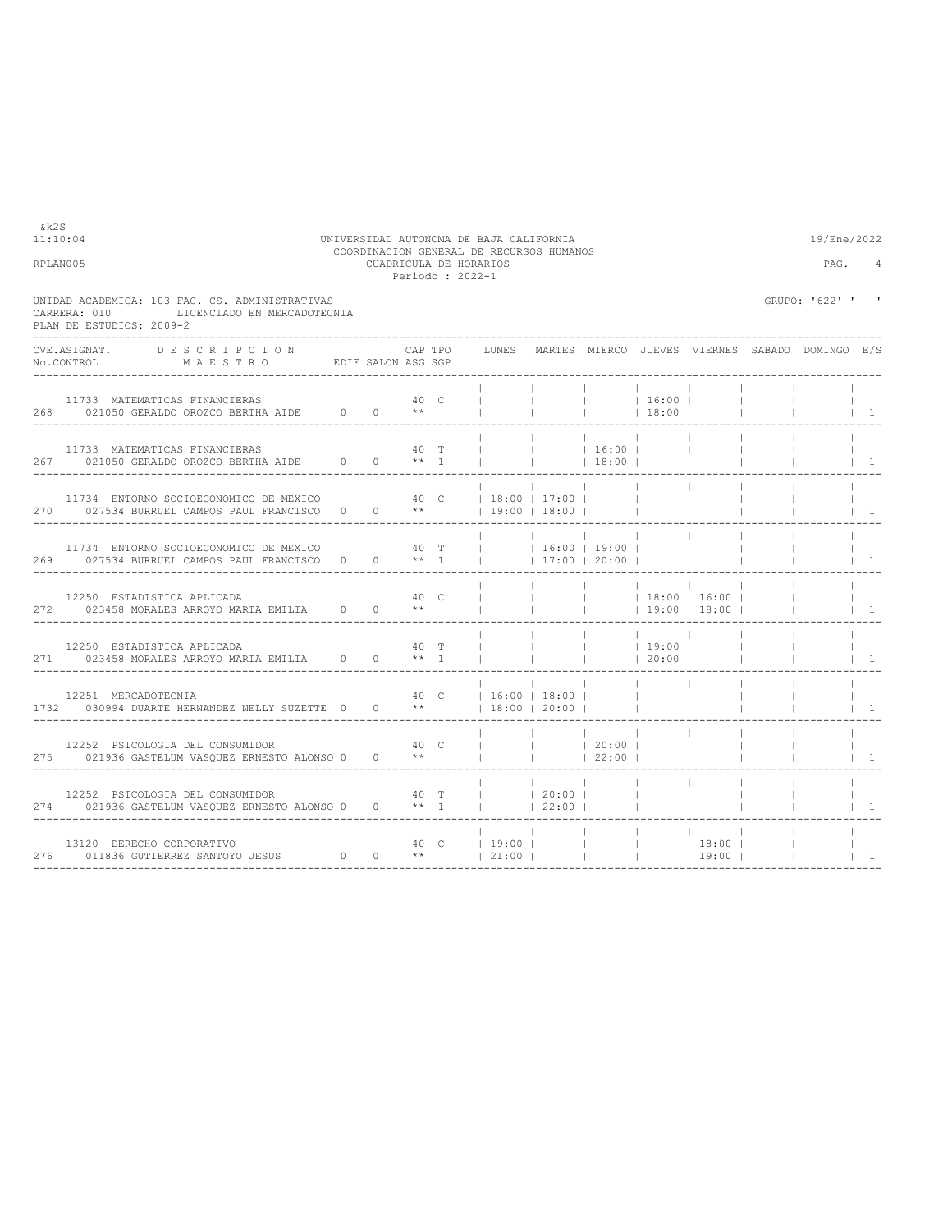| 11:10:04 | UNIVERSIDAD AUTONOMA DE BAJA CALIFORNIA  | 19/Ene/2022 |
|----------|------------------------------------------|-------------|
|          | COORDINACION GENERAL DE RECURSOS HUMANOS |             |
| RPLAN005 | CUADRICULA DE HORARIOS                   | PAG.        |
|          | Periodo: 2022-1                          |             |
|          |                                          |             |

| CARRERA: 010 | UNIDAD ACADEMICA: 103 FAC. CS. ADMINISTRATIVAS<br>LICENCIADO EN MERCADOTECNIA<br>PLAN DE ESTUDIOS: 2009-2                                |  |      |         |                          |                          |                        |                 |                                                       |                          | GRUPO: '622' ' ' |                                        |
|--------------|------------------------------------------------------------------------------------------------------------------------------------------|--|------|---------|--------------------------|--------------------------|------------------------|-----------------|-------------------------------------------------------|--------------------------|------------------|----------------------------------------|
|              | CVE.ASIGNAT. DESCRIPCION CAPTPO<br>No.CONTROL MAESTRO EDIF SALON ASG SGP                                                                 |  |      | CAP TPO |                          |                          |                        |                 | LUNES MARTES MIERCO JUEVES VIERNES SABADO DOMINGO E/S |                          |                  |                                        |
|              | 11733 MATEMATICAS FINANCIERAS<br>268 021050 GERALDO OROZCO BERTHA AIDE 0 0 **                                                            |  | 40 C |         |                          |                          | $ $ 16:00              | 18:00           |                                                       |                          |                  | $\begin{array}{ccc} & 1 & \end{array}$ |
|              | 11733 MATEMATICAS FINANCIERAS                                                                                                            |  |      |         |                          |                          | $16:00$  <br>  18:00   |                 |                                                       |                          |                  | $\begin{array}{cc} \end{array}$        |
|              | 11734 ENTORNO SOCIOECONOMICO DE MEXICO 40 C   18:00   17:00  <br>270 027534 BURRUEL CAMPOS PAUL FRANCISCO 0 0 **   19:00   18:00         |  |      |         |                          |                          |                        |                 |                                                       |                          |                  | $\begin{array}{cc} \end{array}$        |
|              | 11734 ENTORNO SOCIOECONOMICO DE MEXICO $40$ T     16:00   19:00  <br>269 027534 BURRUEL CAMPOS PAUL FRANCISCO 0 0 ** 1     17:00   20:00 |  |      |         |                          |                          |                        |                 | <b>Contract Contract</b>                              |                          |                  | $\vert$ 1                              |
|              | 12250 ESTADISTICA APLICADA<br>272 023458 MORALES ARROYO MARIA EMILIA 0 0 **                                                              |  |      | 40 C    |                          |                          | $\sim$ 100 $\sim$      |                 | $ $   $ $ 18:00   16:00  <br> 19:00 18:00             |                          |                  | $\begin{array}{cc} \end{array}$        |
|              | 12250 ESTADISTICA APLICADA<br>271 023458 MORALES ARROYO MARIA EMILIA 0 0 ** 1                                                            |  | 40 T |         |                          | <b>Contract Contract</b> | 19:00  <br>$ $ 1 20:00 |                 |                                                       | <b>Contract Contract</b> |                  | $1 \quad 1$                            |
|              |                                                                                                                                          |  |      |         |                          |                          |                        | <b>Contract</b> |                                                       |                          |                  |                                        |
|              | 12252 PSICOLOGIA DEL CONSUMIDOR<br>275 021936 GASTELUM VASQUEZ ERNESTO ALONSO 0 0 **                                                     |  | 40 C |         |                          |                          |                        |                 |                                                       |                          |                  | $1 \quad 1$                            |
|              | 12252 PSICOLOGIA DEL CONSUMIDOR<br>274 021936 GASTELUM VASQUEZ ERNESTO ALONSO 0 0 ** 1                                                   |  |      |         | 40 T   20:00  <br> 22:00 |                          |                        |                 |                                                       |                          |                  | $\begin{array}{cc} \end{array}$        |
|              | ----------------------------------                                                                                                       |  |      |         |                          |                          |                        |                 | $19:00$                                               |                          |                  | $\overline{1}$                         |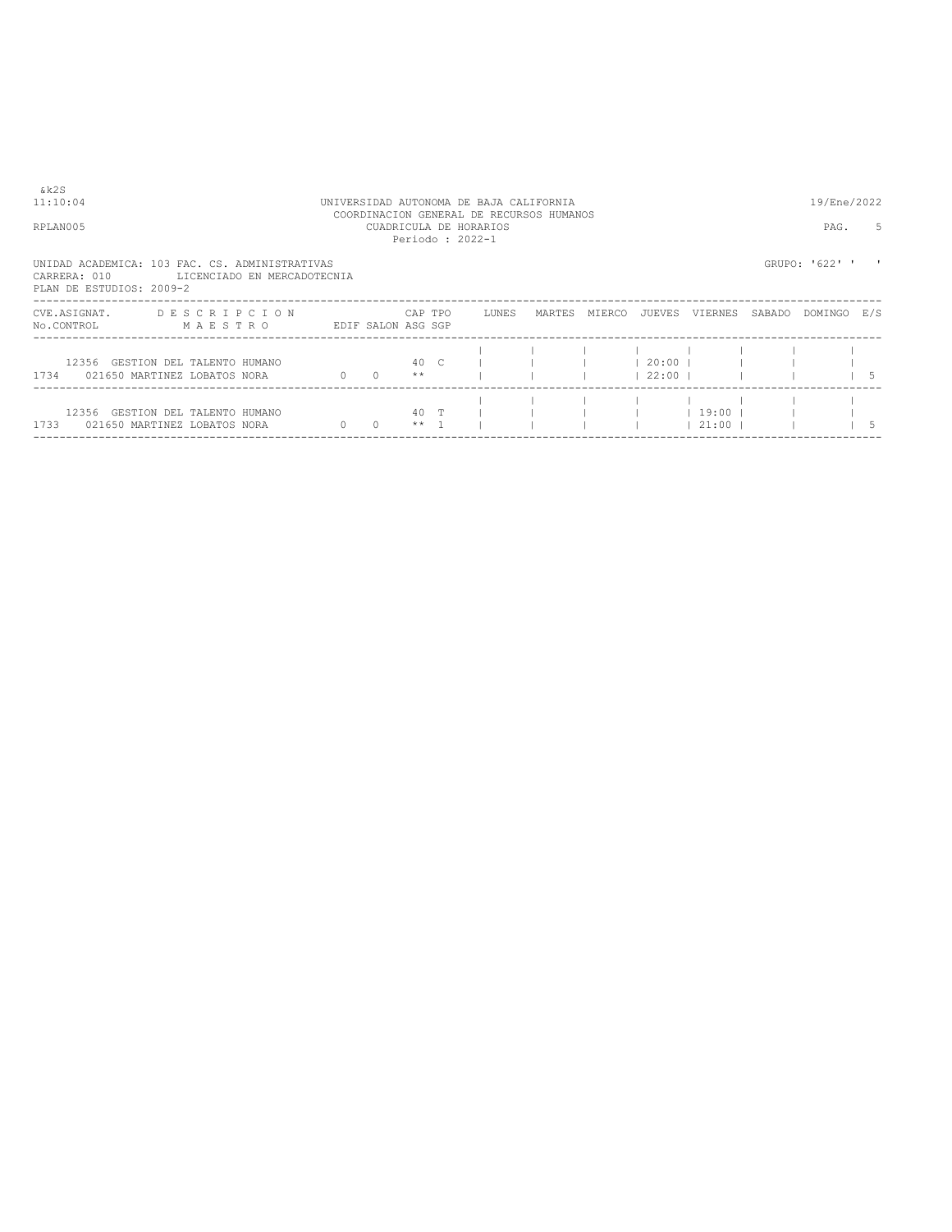| &k2S<br>11:10:04<br>RPLAN005                                                               |                        |                             |                        |                 | UNIVERSIDAD AUTONOMA DE BAJA CALIFORNIA<br>COORDINACION GENERAL DE RECURSOS HUMANOS<br>CUADRICULA DE HORARIOS<br>Periodo: 2022-1 |        |        |                       |                    |        | 19/Ene/2022<br>PAG. | .5            |
|--------------------------------------------------------------------------------------------|------------------------|-----------------------------|------------------------|-----------------|----------------------------------------------------------------------------------------------------------------------------------|--------|--------|-----------------------|--------------------|--------|---------------------|---------------|
| UNIDAD ACADEMICA: 103 FAC. CS. ADMINISTRATIVAS<br>CARRERA: 010<br>PLAN DE ESTUDIOS: 2009-2 |                        | LICENCIADO EN MERCADOTECNIA |                        |                 |                                                                                                                                  |        |        |                       |                    |        | GRUPO: '622' '      |               |
| CVE.ASIGNAT.<br>No.CONTROL                                                                 | DESCRIPCION<br>MAESTRO |                             | EDIF SALON ASG SGP     | CAP TPO         | LUNES                                                                                                                            | MARTES | MIERCO | JUEVES                | VIERNES            | SABADO | DOMINGO E/S         |               |
| 12356 GESTION DEL TALENTO HUMANO<br>1734 021650 MARTINEZ LOBATOS NORA                      |                        |                             | $0 \t 0 \t \star\star$ |                 | 40 C I                                                                                                                           |        |        | $120:00$ 1<br>122:001 |                    |        |                     | $\frac{1}{5}$ |
| 12356 GESTION DEL TALENTO HUMANO<br>1733 021650 MARTINEZ LOBATOS NORA                      |                        |                             | $0\qquad 0$            | 40 T<br>$***$ 1 |                                                                                                                                  |        |        |                       | 19:00  <br>$21:00$ |        |                     | 15            |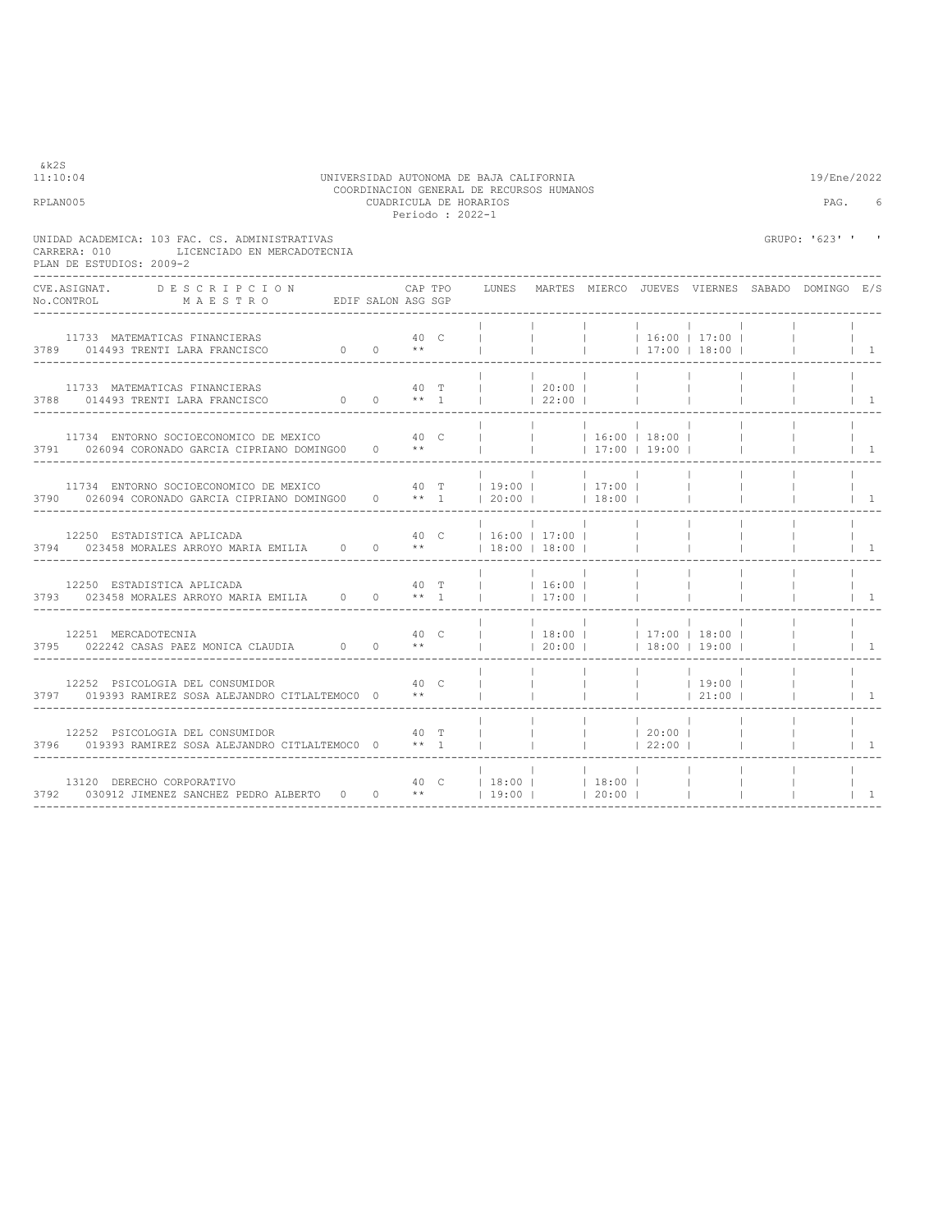| &k2S<br>11:10:04<br>UNIVERSIDAD AUTONOMA DE BAJA CALIFORNIA<br>COORDINACION GENERAL DE RECURSOS HUMANOS                                      |                        |           |         |                 |                                                                                                            |                                                      |                                        |                                    |                                      |                          | 19/Ene/2022                                     |                                        |
|----------------------------------------------------------------------------------------------------------------------------------------------|------------------------|-----------|---------|-----------------|------------------------------------------------------------------------------------------------------------|------------------------------------------------------|----------------------------------------|------------------------------------|--------------------------------------|--------------------------|-------------------------------------------------|----------------------------------------|
| RPLAN005                                                                                                                                     |                        |           |         | Periodo: 2022-1 | CUADRICULA DE HORARIOS                                                                                     |                                                      |                                        |                                    |                                      |                          | PAG.                                            | 6                                      |
| UNIDAD ACADEMICA: 103 FAC. CS. ADMINISTRATIVAS<br>LICENCIADO EN MERCADOTECNIA<br>CARRERA: 010<br>PLAN DE ESTUDIOS: 2009-2                    |                        |           |         |                 |                                                                                                            |                                                      |                                        |                                    |                                      |                          | GRUPO: '623' '                                  |                                        |
| CVE ASIGNAT.<br>DESCRIPCION<br>No.CONTROL MAESTRO EDIF SALON ASG SGP                                                                         |                        |           | CAP TPO |                 | LUNES                                                                                                      |                                                      |                                        |                                    |                                      |                          | MARTES MIERCO JUEVES VIERNES SABADO DOMINGO E/S |                                        |
| 11733 MATEMATICAS FINANCIERAS<br>3789 014493 TRENTI LARA FRANCISCO                                                                           | $0 \t 0 \t \star\star$ | ли в 40 с |         |                 | <b>The Common</b>                                                                                          | <b>Contract Contract</b><br><b>Contract Contract</b> | <b>Contract</b><br>$\blacksquare$      |                                    | $16:00$   17:00  <br>  17:00   18:00 |                          |                                                 | $\vert$ 1                              |
| 11733 MATEMATICAS FINANCIERAS<br>3788 014493 TRENTI LARA FRANCISCO $0$ 0 $**$ 1                                                              |                        | 40 T      |         |                 | $\frac{1}{20:00}$                                                                                          | 22:00                                                |                                        | <b>College</b>                     |                                      |                          |                                                 | $\vert$ 1                              |
| 11734 ENTORNO SOCIOECONOMICO DE MEXICO 640 C<br>3791 026094 CORONADO GARCIA CIPRIANO DOMINGO0 0 **                                           |                        |           |         |                 | $\mathbf{1}$<br><b>Contract</b>                                                                            |                                                      | $ $ 16:00   18:00  <br>$17:00$   19:00 |                                    |                                      | $\perp$                  |                                                 | $1 \quad 1$                            |
| 11734 ENTORNO SOCIOECONOMICO DE MEXICO 60 40 T   19:00     17:00  <br>3790 026094 CORONADO GARCIA CIPRIANO DOMINGO0 0 ** 1   20:00     18:00 |                        |           |         |                 |                                                                                                            |                                                      |                                        |                                    | <b>Contract</b>                      |                          |                                                 | $1 \quad 1$                            |
| 12250 ESTADISTICA APLICADA<br>3794 023458 MORALES ARROYO MARIA EMILIA 0 0 **                                                                 |                        |           | 40 C    |                 | $16:00$   17:00  <br>$\vert$ 18:00   18:00                                                                 |                                                      |                                        | $\mathbb{R}$                       |                                      |                          |                                                 | $\begin{array}{cc} \end{array}$        |
| 12250 ESTADISTICA APLICADA<br>3793 023458 MORALES ARROYO MARIA EMILIA 0 0 ** 1                                                               |                        |           |         |                 | $\begin{array}{ccccccc}\n40 & T & &   & &   & &   \\ \ast\star & 1 & &   & &   & 16:00 &   \\ \end{array}$ | and the state                                        |                                        | <b>Contract</b><br><b>Contract</b> | $\blacksquare$                       |                          |                                                 | $\begin{array}{ccc} & 1 & \end{array}$ |
| 12251 MERCADOTECNIA<br>3795 022242 CASAS PAEZ MONICA CLAUDIA 0 0 **                                                                          |                        |           |         | 40 C            | $ $ $ $ 20:00 $ $ $ $ 18:00 $ $ 19:00 $ $                                                                  | <b>Contract</b>                                      |                                        |                                    | $ $ 18:00   17:00   18:00            |                          | $\mathbf{I}$                                    | $\vert$ 1                              |
| 12252 PSICOLOGIA DEL CONSUMIDOR<br>3797 019393 RAMIREZ SOSA ALEJANDRO CITLALTEMOC0 0 **                                                      | 40 <sup>°</sup>        |           |         |                 | $\mathbf{u}$ , $\mathbf{u}$ , $\mathbf{u}$ , $\mathbf{u}$                                                  |                                                      | $\mathbb{R}^n$                         | $\sim 10^{-10}$ m $^{-1}$          | 19:00 <br> 21:00                     |                          |                                                 | $\begin{array}{cc} \end{array}$        |
| 12252 PSICOLOGIA DEL CONSUMIDOR<br>3796 019393 RAMIREZ SOSA ALEJANDRO CITLALTEMOCO 0 ** 1                                                    | 40 T                   |           |         |                 |                                                                                                            | $\mathbb{R}$                                         | <b>Contract</b><br> 22:00              | 20:00                              |                                      | <b>Contract Contract</b> |                                                 | $1 \quad 1$                            |
| 13120 DERECHO CORPORATIVO<br>3792 030912 JIMENEZ SANCHEZ PEDRO ALBERTO 0 0 **   19:00     20:00                                              |                        |           |         |                 | 40 C   18:00     18:00                                                                                     |                                                      |                                        |                                    | <b>College</b>                       | $\mathbf{1}$             |                                                 | $\begin{array}{cc} \end{array}$        |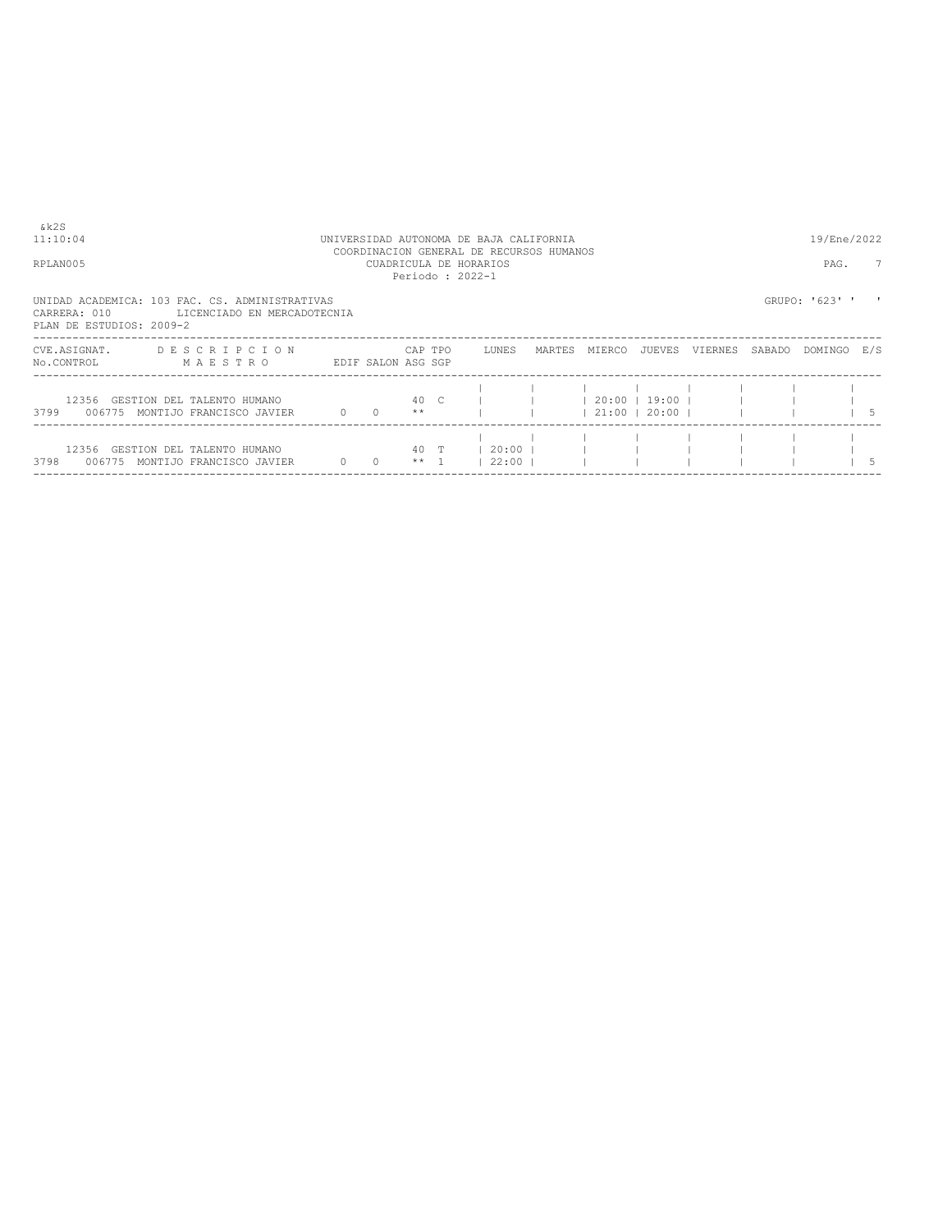11:10:04 UNIVERSIDAD AUTONOMA DE BAJA CALIFORNIA 19/Ene/2022 COORDINACION GENERAL DE RECURSOS HUMANOS RPLAN005 CUADRICULA DE HORARIOS PAG. 7 Periodo : 2022-1

UNIDAD ACADEMICA: 103 FAC. CS. ADMINISTRATIVAS<br>CARRERA: 010 LICENCIADO EN MERCADOTECNIA<br>PLAN DE ESTUDIOS: 2009-2

| CVE.ASIGNAT.<br>No.CONTROL | <b>DESCRIPCION</b><br>MAESTRO                                |          | EDIF SALON ASG SGP | CAP TPO         | LUNES              | MARTES | MIERCO | JUEVES                   | VIERNES | SABADO | DOMINGO | E/S |
|----------------------------|--------------------------------------------------------------|----------|--------------------|-----------------|--------------------|--------|--------|--------------------------|---------|--------|---------|-----|
| 006775<br>3799             | 12356 GESTION DEL TALENTO HUMANO<br>MONTIJO FRANCISCO JAVIER | $\Omega$ |                    | 40 C<br>**      |                    |        | 21:00  | 20:00   19:00  <br>20:00 |         |        |         |     |
| 3798<br>006775             | 12356 GESTION DEL TALENTO HUMANO<br>MONTIJO FRANCISCO JAVIER |          |                    | 40 T<br>$***$ 1 | $20:00$ 1<br>22:00 |        |        |                          |         |        |         |     |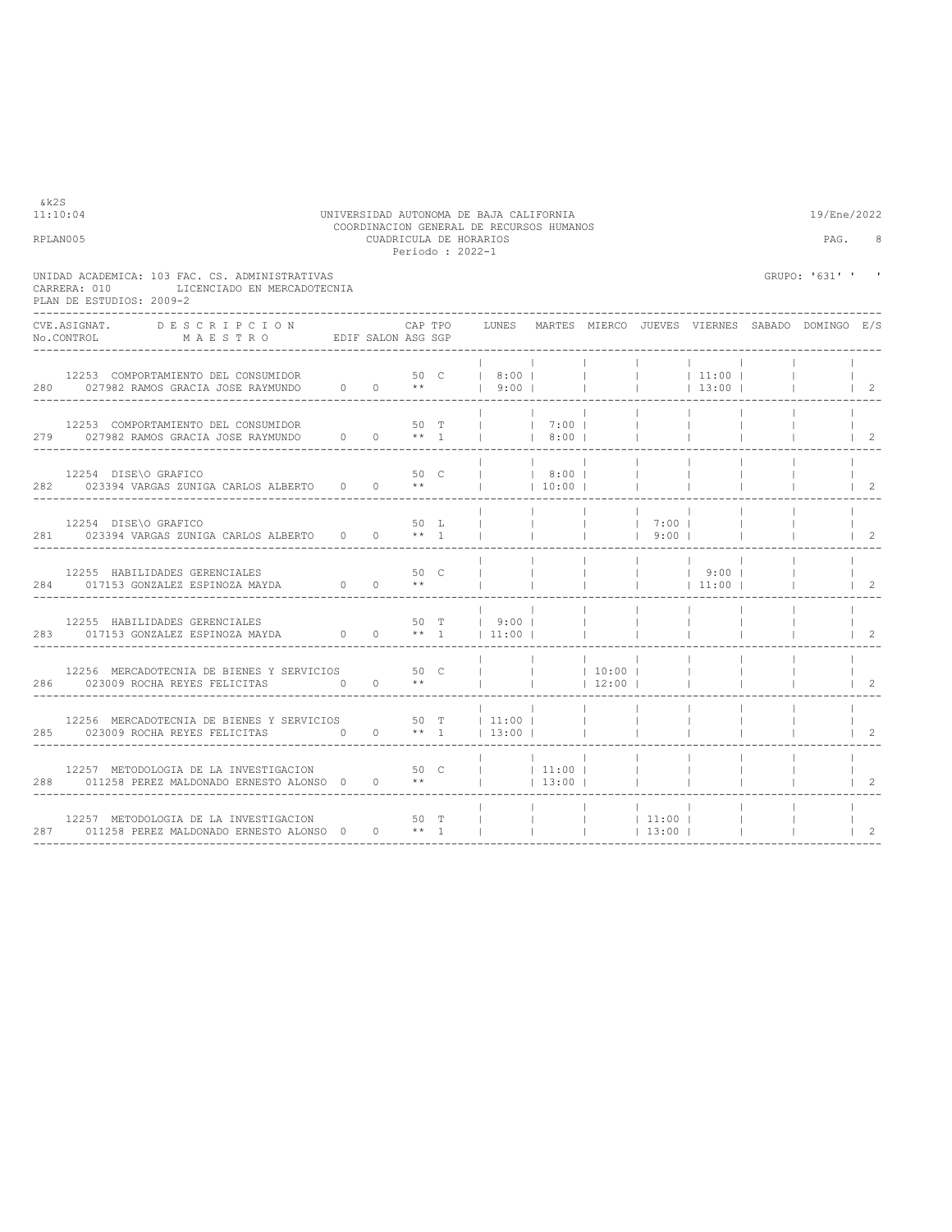| RPLAN005     |                                                                                                                                     |  |                                   | CUADRICULA DE HORARIOS<br>Periodo: 2022-1 |                          |                     |                          |                                      |                                                                                                | PAG.                                            | 8                        |
|--------------|-------------------------------------------------------------------------------------------------------------------------------------|--|-----------------------------------|-------------------------------------------|--------------------------|---------------------|--------------------------|--------------------------------------|------------------------------------------------------------------------------------------------|-------------------------------------------------|--------------------------|
| CARRERA: 010 | UNIDAD ACADEMICA: 103 FAC. CS. ADMINISTRATIVAS<br>LICENCIADO EN MERCADOTECNIA<br>PLAN DE ESTUDIOS: 2009-2                           |  |                                   |                                           |                          |                     |                          |                                      |                                                                                                | GRUPO: '631' '                                  |                          |
| CVE.ASIGNAT. | D E S C R I P C I O N<br>No.CONTROL MAESTRO EDIF SALON ASG SGP                                                                      |  | CAP TPO                           |                                           | <b>LUNES</b>             |                     |                          |                                      |                                                                                                | MARTES MIERCO JUEVES VIERNES SABADO DOMINGO E/S |                          |
|              | 12253 COMPORTAMIENTO DEL CONSUMIDOR $280$ 027982 RAMOS GRACIA JOSE RAYMUNDO $0$ 0 **   9:00                                         |  |                                   |                                           |                          |                     | <b>Contract Contract</b> |                                      | $ $ 13:00                                                                                      |                                                 | $\vert$ 2                |
|              | 12253 COMPORTAMIENTO DEL CONSUMIDOR<br>12253 COMPORTAMIENTO DEL CONSUMIDOR 50 T  <br>279 027982 RAMOS GRACIA JOSE RAYMUNDO 0 0 ** 1 |  | 50 T                              |                                           |                          | $17:00$ 1<br>  8:00 |                          |                                      |                                                                                                |                                                 | $\overline{\phantom{0}}$ |
|              | 12254 DISE\O GRAFICO<br>282 023394 VARGAS ZUNIGA CARLOS ALBERTO 0 0 **                                                              |  | 50 C                              |                                           | $\mathbf{1}$             | 8:00  <br> 10:00    |                          |                                      |                                                                                                |                                                 | $\overline{2}$           |
|              | 12254 DISE\O GRAFICO<br>281 023394 VARGAS ZUNIGA CARLOS ALBERTO 0 0 ** 1                                                            |  | 50 L                              |                                           |                          |                     | <b>Contract Contract</b> | $ $ $ $ $ $ $ $ 7:00 $ $<br>$ $ 9:00 |                                                                                                |                                                 | $\overline{2}$           |
|              | 12255 HABILIDADES GERENCIALES<br>$284$ 017153 GONZALEZ ESPINOZA MAYDA 0 0 $**$                                                      |  | 50 C                              |                                           |                          |                     |                          |                                      | $\begin{array}{cccccccc}   & &   & &   & 9:00 &   \\   & &   & &   & 11:00 &   \\ \end{array}$ |                                                 | $\overline{2}$           |
|              | $12255$ HABILIDADES GERENCIALES<br>$$50$$ T $283$ $1017153$ GONZALEZ ESPINOZA MAYDA $$6000$ $$**$1$$                                |  |                                   |                                           | 50 T   9:00  <br>$11:00$ |                     |                          |                                      |                                                                                                |                                                 | 2                        |
|              | 12256 MERCADOTECNIA DE BIENES Y SERVICIOS 50 C<br>286 023009 ROCHA REYES FELICITAS 0                                                |  | $0 \longrightarrow$ **            |                                           |                          |                     | 10:00  <br> 12:00        |                                      |                                                                                                |                                                 | 2                        |
|              | 12256 MERCADOTECNIA DE BIENES Y SERVICIOS 50 T   11:00  <br>285 023009 ROCHA REYES FELICITAS 0                                      |  | $0 \rightarrow \ast \ast \quad 1$ |                                           | $13:00$ $1$              |                     | $\sim 10^{-11}$          |                                      |                                                                                                |                                                 | $\mathcal{L}$            |
|              | 12257 METODOLOGIA DE LA INVESTIGACION<br>288 011258 PEREZ MALDONADO ERNESTO ALONSO 0 0 **                                           |  | 50 C                              |                                           | $ $ 11:00                | 13:00               |                          |                                      |                                                                                                |                                                 | 2                        |
|              | 12257 METODOLOGIA DE LA INVESTIGACION<br>287 011258 PEREZ MALDONADO ERNESTO ALONSO 0 0 ** 1                                         |  | 50 T                              |                                           |                          |                     | $\blacksquare$           | $\blacksquare$                       |                                                                                                |                                                 | $\overline{2}$           |

## 11:10:04 UNIVERSIDAD AUTONOMA DE BAJA CALIFORNIA 19/Ene/2022 COORDINACION GENERAL DE RECURSOS HUMANOS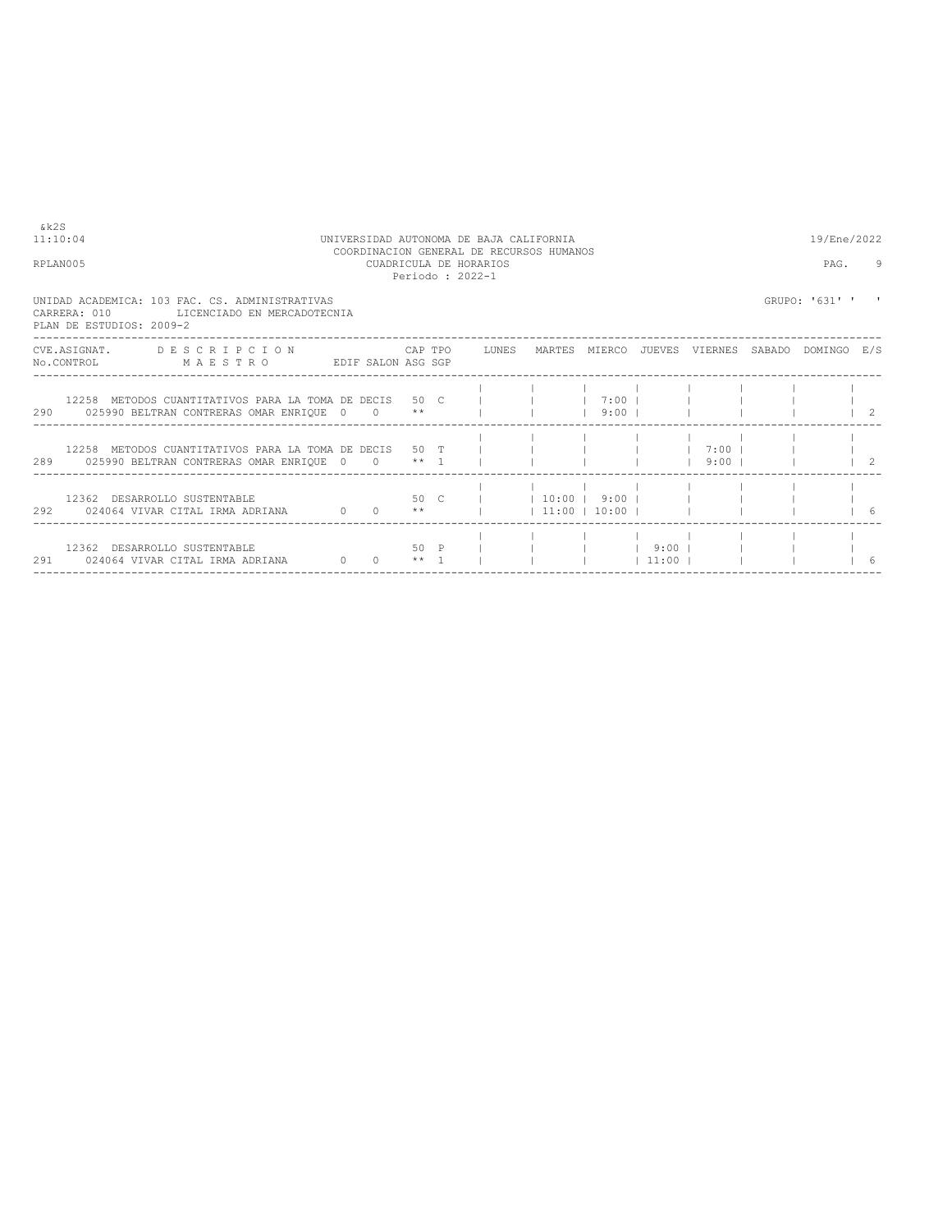| RPLAN005 |                                                                                                                        |                 |      | CUADRICULA DE HORARIOS<br>Periodo: 2022-1 |                 |           |                |        | PAG.           |           |
|----------|------------------------------------------------------------------------------------------------------------------------|-----------------|------|-------------------------------------------|-----------------|-----------|----------------|--------|----------------|-----------|
|          | UNIDAD ACADEMICA: 103 FAC. CS. ADMINISTRATIVAS<br>CARRERA: 010 LICENCIADO EN MERCADOTECNIA<br>PLAN DE ESTUDIOS: 2009-2 |                 |      |                                           |                 |           |                |        | GRUPO: '631' ' |           |
|          | CVE.ASIGNAT. DESCRIPCION CAPTPO LUNES MARTES MIERCO<br>M A E S T R O EDIF SALON ASG SGP<br>No.CONTROL                  |                 |      |                                           |                 |           | JUEVES VIERNES | SABADO | DOMINGO E/S    |           |
|          | 12258 METODOS CUANTITATIVOS PARA LA TOMA DE DECIS 50 C l<br>290 025990 BELTRAN CONTRERAS OMAR ENRIQUE 0 0 **           |                 |      |                                           |                 | $9:00$    |                |        |                | $\vert$ 2 |
| 289      | 12258 METODOS CUANTITATIVOS PARA LA TOMA DE DECIS 50 T<br>025990 BELTRAN CONTRERAS OMAR ENRIQUE $0$ 0 ** 1             |                 |      | the contract of the con-                  |                 |           |                | $9:00$ |                | 2         |
|          | 12362 DESARROLLO SUSTENTABLE<br>$0 \t 0 \t \star\star$<br>292 024064 VIVAR CITAL IRMA ADRIANA                          |                 | 50 C |                                           | $11:00$   10:00 |           |                |        |                | -6        |
| 291      | 12362 DESARROLLO SUSTENTABLE<br>024064 VIVAR CITAL IRMA ADRIANA                                                        | $0 \t 0 \t + 1$ | 50 P |                                           |                 | $ $ 11:00 |                |        |                | 6         |

----------------------------------------------------------------------------------------------------------------------------------

COORDINACION GENERAL DE RECURSOS HUMANOS

11:10:04 UNIVERSIDAD AUTONOMA DE BAJA CALIFORNIA 19/Ene/2022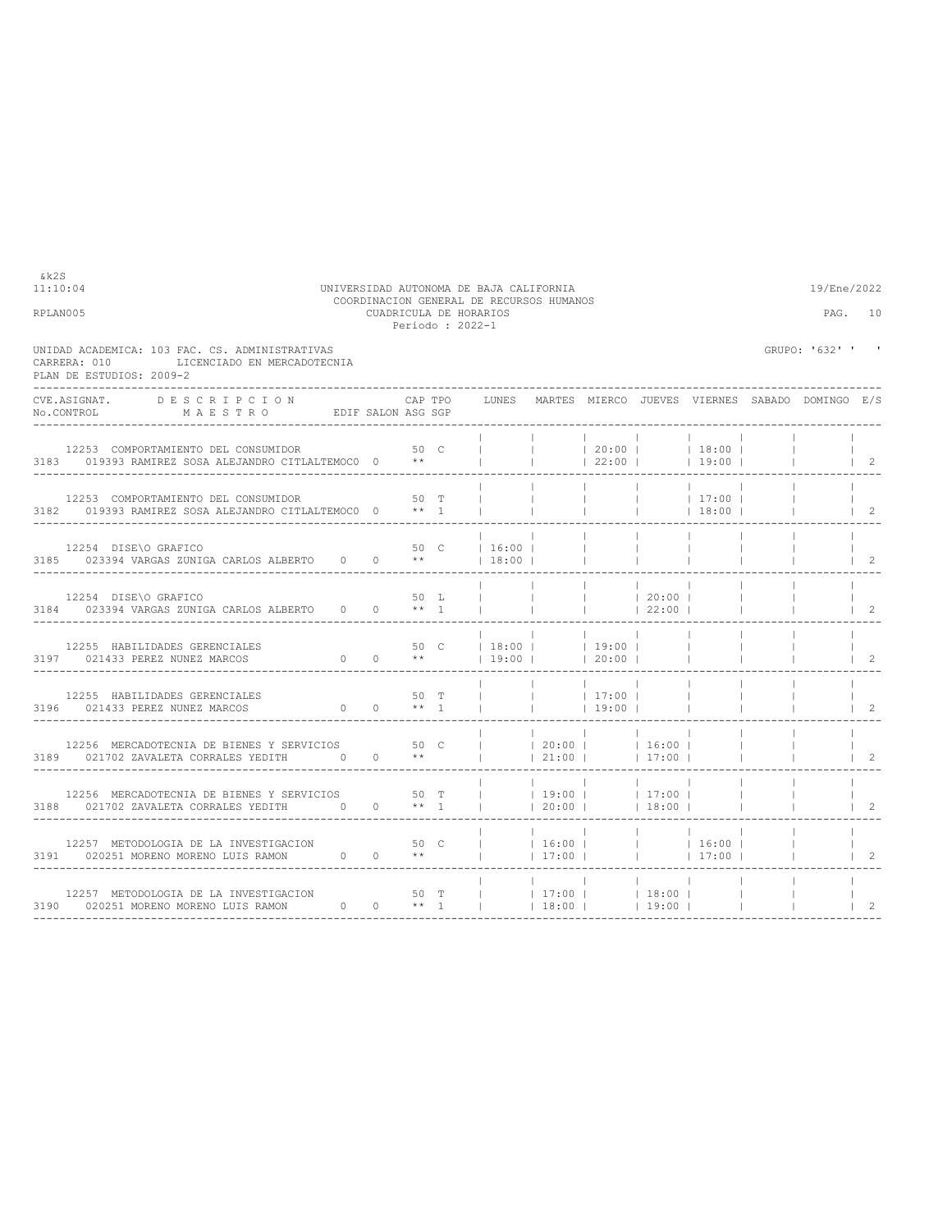| RPLAN005                                                                                                                  |                 | CUADRICULA DE HORARIOS<br>Periodo: 2022-1 |                                         |                          |                                                      |                          |                                                                                                    |                                                 | PAG. 10                              |
|---------------------------------------------------------------------------------------------------------------------------|-----------------|-------------------------------------------|-----------------------------------------|--------------------------|------------------------------------------------------|--------------------------|----------------------------------------------------------------------------------------------------|-------------------------------------------------|--------------------------------------|
| UNIDAD ACADEMICA: 103 FAC. CS. ADMINISTRATIVAS<br>LICENCIADO EN MERCADOTECNIA<br>CARRERA: 010<br>PLAN DE ESTUDIOS: 2009-2 |                 |                                           |                                         |                          |                                                      |                          |                                                                                                    | GRUPO: '632' ' '                                |                                      |
| DESCRIPCION<br>CVE.ASIGNAT.<br>No.CONTROL MAESTRO EDIF SALON ASG SGP                                                      |                 | CAP TPO                                   | LUNES                                   |                          |                                                      |                          |                                                                                                    | MARTES MIERCO JUEVES VIERNES SABADO DOMINGO E/S |                                      |
| 12253 COMPORTAMIENTO DEL CONSUMIDOR<br>3183 019393 RAMIREZ SOSA ALEJANDRO CITLALTEMOCO 0 **                               | 50 <sub>C</sub> |                                           | $\mathbf{L}$                            | <b>College</b>           | 22:00                                                |                          | 19:00                                                                                              |                                                 | $\begin{array}{ccc} \end{array}$     |
| 12253 COMPORTAMIENTO DEL CONSUMIDOR<br>3182 019393 RAMIREZ SOSA ALEJANDRO CITLALTEMOCO 0 ** 1                             |                 | 50 T                                      |                                         |                          |                                                      |                          | $\begin{array}{ccccccc} &   & &   & &   & 17:00 &   \\ &   & &   & &   & 18:00 &   \\ \end{array}$ |                                                 | $\begin{array}{ccc} & 2 \end{array}$ |
| 12254 DISE\O GRAFICO<br>3185 023394 VARGAS ZUNIGA CARLOS ALBERTO 0 0 **                                                   |                 |                                           | 50 C   16:00  <br>$18:00$ $\Box$        |                          |                                                      |                          |                                                                                                    |                                                 | $\overline{2}$                       |
| 12254 DISE\O GRAFICO<br>3184 023394 VARGAS ZUNIGA CARLOS ALBERTO 0 0 ** 1                                                 |                 | 50 L                                      |                                         |                          | $\sim$ 1.0<br>$1 \t 22:00 \t 1$                      |                          |                                                                                                    |                                                 | $\overline{2}$                       |
| 12255 HABILIDADES GERENCIALES<br>ES 50 C<br>0 0 **<br>3197 021433 PEREZ NUNEZ MARCOS                                      |                 |                                           | 50 C   18:00     19:00  <br>$13:00$ $1$ | <b>Contract Contract</b> | <b>Contract</b><br>$120:00$ 1                        | <b>Contract Contract</b> |                                                                                                    |                                                 | $\mathcal{L}$                        |
| 12255 HABILIDADES GERENCIALES                                                                                             |                 | 50 T                                      |                                         |                          | $\blacksquare$<br>and the control<br> 19:00          |                          |                                                                                                    |                                                 | 2                                    |
| 12256 MERCADOTECNIA DE BIENES Y SERVICIOS 50 C<br>3189 021702 ZAVALETA CORRALES YEDITH 0 0 **                             |                 |                                           | $ $ $ $ 20:00 $ $ $ $ 16:00 $ $         | 21:00                    | <b>Contract Contract</b><br><b>Contract Contract</b> | 17:00                    |                                                                                                    |                                                 | 2                                    |
| 12256 MERCADOTECNIA DE BIENES Y SERVICIOS 50 T<br>3188 021702 ZAVALETA CORRALES YEDITH 0 0 ** 1                           |                 |                                           | $ $ 19:00 $ $ 17:00 $ $                 | $\sim$ 1.0               | $ 20:00 $ $ 18:00 $                                  | $\mathbb{R}$             |                                                                                                    |                                                 | $\mathfrak{D}$                       |
| 12257 METODOLOGIA DE LA INVESTIGACION 50 C<br>3191 020251 MORENO MORENO LUIS RAMON $0$ 0 **                               |                 |                                           |                                         |                          |                                                      |                          | $\frac{1}{1}$   16:00         16:00  <br>$ 17:00 $ $ 17:00 $                                       |                                                 | $\mathfrak{D}$                       |
| 12257 METODOLOGIA DE LA INVESTIGACION<br>3190 020251 MORENO MORENO LUIS RAMON $0$ 0 ** 1<br>---------------------------   |                 | 50 T                                      |                                         |                          | $18:00$   19:00                                      |                          |                                                                                                    |                                                 | $\mathfrak{D}$                       |

11:10:04 UNIVERSIDAD AUTONOMA DE BAJA CALIFORNIA 19/Ene/2022 COORDINACION GENERAL DE RECURSOS HUMANOS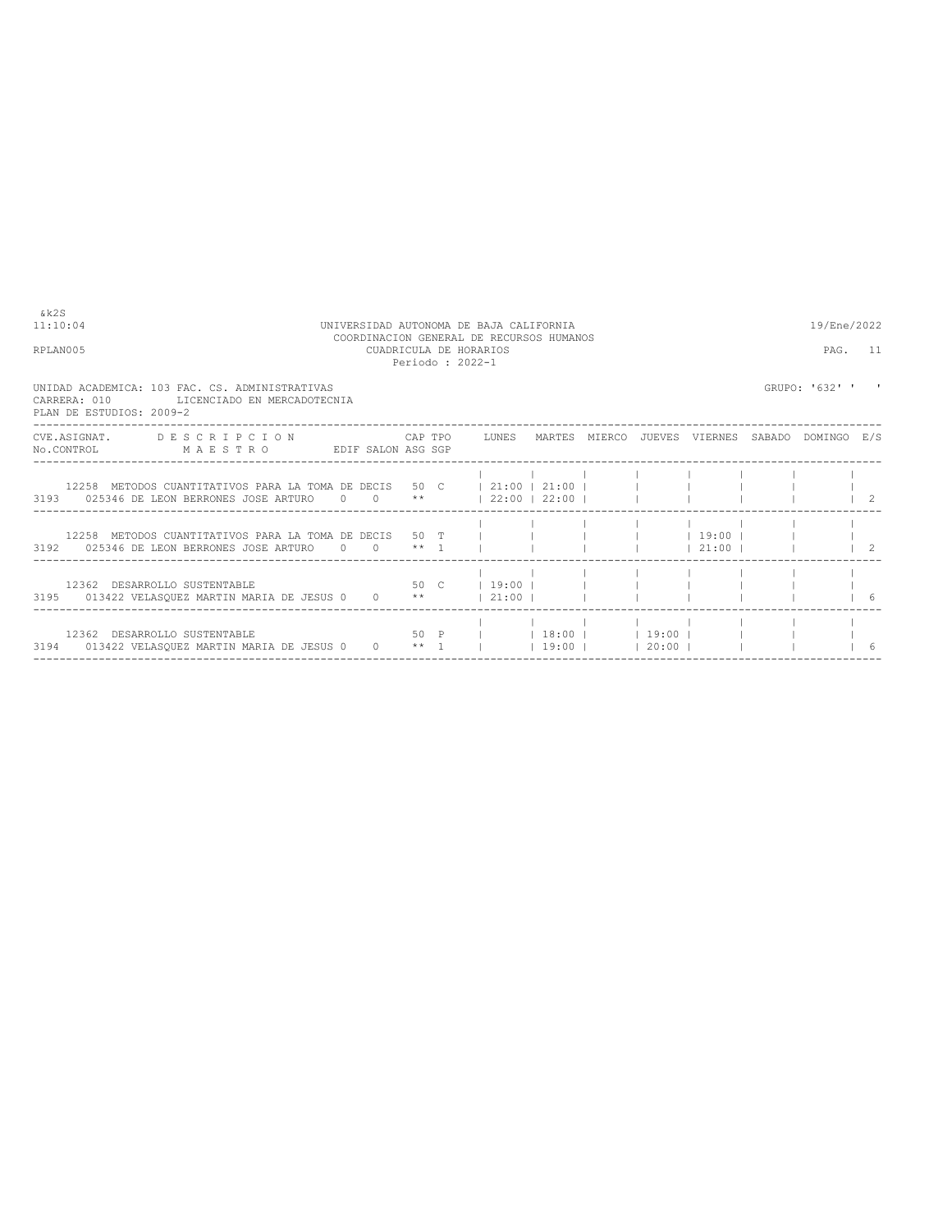| & k 2 S<br>11:10:04<br>RPLAN005                                                                                                                    | UNIVERSIDAD AUTONOMA DE BAJA CALIFORNIA<br>COORDINACION GENERAL DE RECURSOS HUMANOS<br>CUADRICULA DE HORARIOS<br>Periodo: 2022-1 |           |  |  |                            |  |                     |  |                                       |  |                |    |
|----------------------------------------------------------------------------------------------------------------------------------------------------|----------------------------------------------------------------------------------------------------------------------------------|-----------|--|--|----------------------------|--|---------------------|--|---------------------------------------|--|----------------|----|
| UNIDAD ACADEMICA: 103 FAC. CS. ADMINISTRATIVAS<br>CARRERA: 010<br>LICENCIADO EN MERCADOTECNIA<br>PLAN DE ESTUDIOS: 2009-2                          |                                                                                                                                  |           |  |  |                            |  |                     |  |                                       |  | GRUPO: '632' ' |    |
| CVE.ASIGNAT. DESCRIPCION CAPTPO LUNES MARTES MIERCO JUEVES VIERNES SABADO DOMINGO E/S<br>No.CONTROL MAESTRO EDIF SALON ASG SGP                     |                                                                                                                                  |           |  |  |                            |  |                     |  |                                       |  |                |    |
| $12258$ METODOS CUANTITATIVOS PARA LA TOMA DE DECIS 50 C $\,$   21:00   21:00  <br>3193 025346 DE LEON BERRONES JOSE ARTURO 0 0 **   22:00   22:00 |                                                                                                                                  |           |  |  |                            |  |                     |  |                                       |  |                |    |
| 12258 METODOS CUANTITATIVOS PARA LA TOMA DE DECIS 50 T<br>3192 025346 DE LEON BERRONES JOSE ARTURO $0 \times * 1$                                  |                                                                                                                                  |           |  |  |                            |  |                     |  | $1 \quad 19:00 \quad 1$<br>$121:00$ 1 |  |                |    |
| 12362 DESARROLLO SUSTENTABLE<br>3195 013422 VELASQUEZ MARTIN MARIA DE JESUS 0 0 **   21:00                                                         |                                                                                                                                  |           |  |  | 50 C   19:00               |  |                     |  |                                       |  |                | 6  |
| 12362 DESARROLLO SUSTENTABLE<br>3194 013422 VELASQUEZ MARTIN MARIA DE JESUS 0                                                                      |                                                                                                                                  | $0 + * 1$ |  |  | 50 P       18:00     19:00 |  | $ 19:00 $ $ 20:00 $ |  |                                       |  |                | -6 |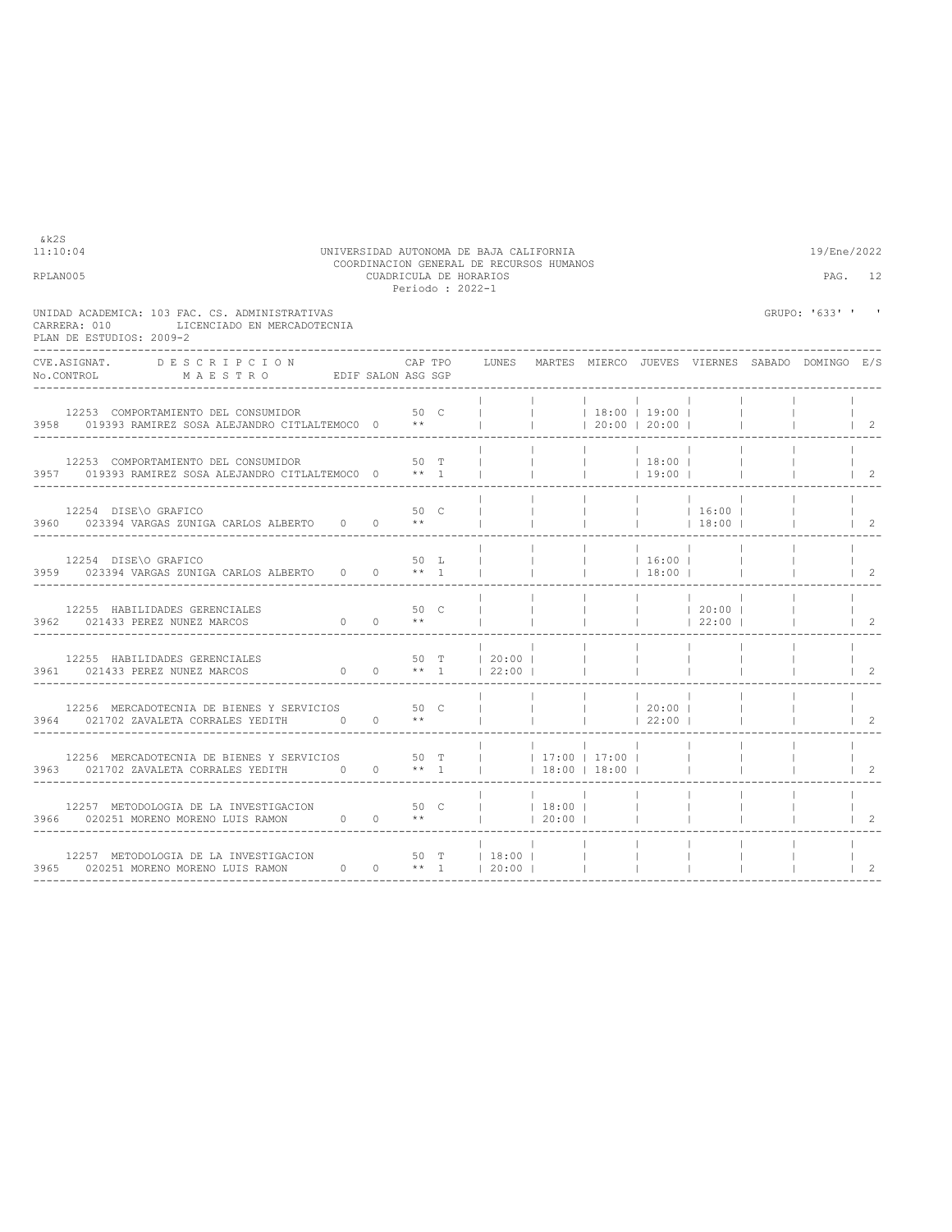| 11:10:04<br>RPLAN005 |                                                                                                                                                                                                                     |                        |         |      | UNIVERSIDAD AUTONOMA DE BAJA CALIFORNIA<br>COORDINACION GENERAL DE RECURSOS HUMANOS<br>CUADRICULA DE HORARIOS<br>Periodo : 2022-1 |                          |                                                                                                |                  |                                                                                                | 19/Ene/2022      | PAG. 12                          |
|----------------------|---------------------------------------------------------------------------------------------------------------------------------------------------------------------------------------------------------------------|------------------------|---------|------|-----------------------------------------------------------------------------------------------------------------------------------|--------------------------|------------------------------------------------------------------------------------------------|------------------|------------------------------------------------------------------------------------------------|------------------|----------------------------------|
|                      | UNIDAD ACADEMICA: 103 FAC. CS. ADMINISTRATIVAS<br>LICENCIADO EN MERCADOTECNIA<br>CARRERA: 010<br>PLAN DE ESTUDIOS: 2009-2                                                                                           |                        |         |      |                                                                                                                                   |                          |                                                                                                |                  |                                                                                                | GRUPO: '633' ' ' |                                  |
|                      | <b>DESCRIPCION</b><br>CVE.ASIGNAT.                                                                                                                                                                                  |                        | CAP TPO |      | LUNES MARTES MIERCO JUEVES VIERNES SABADO DOMINGO E/S                                                                             |                          |                                                                                                |                  |                                                                                                |                  |                                  |
|                      | 12253 COMPORTAMIENTO DEL CONSUMIDOR<br>3958 019393 RAMIREZ SOSA ALEJANDRO CITLALTEMOCO 0 **                                                                                                                         |                        | 50 C    |      |                                                                                                                                   |                          | 18:00 19:00 <br> 20:00 20:00                                                                   |                  |                                                                                                |                  | $\vert$ 2                        |
|                      | 12253 COMPORTAMIENTO DEL CONSUMIDOR<br>3957 019393 RAMIREZ SOSA ALEJANDRO CITLALTEMOCO 0 ** 1                                                                                                                       |                        |         | 50 T |                                                                                                                                   | $\sim$ 1.000 $\sim$      | $\begin{array}{ccccccc}   & &   & &   & 18:00 &   \\   & &   & &   & 19:00 &   \\ \end{array}$ |                  |                                                                                                |                  | $\begin{array}{ccc} \end{array}$ |
|                      | 12254 DISE\O GRAFICO<br>3960 023394 VARGAS ZUNIGA CARLOS ALBERTO 0 0 **                                                                                                                                             |                        | 50 C    |      |                                                                                                                                   | $\sim$ 100 $\sim$        |                                                                                                |                  | $\begin{array}{ccccccc}   & &   & &   & 16:00 &   \\   & &   & &   & 18:00 &   \\ \end{array}$ |                  | $1\quad 2$                       |
|                      | 12254 DISE\O GRAFICO<br>3959 023394 VARGAS ZUNIGA CARLOS ALBERTO 0 0 ** 1                                                                                                                                           |                        |         | 50 L |                                                                                                                                   | <b>Contract</b>          | $ $ 16:00  <br>$ $ 18:00                                                                       |                  |                                                                                                |                  | $\vert$ 2                        |
|                      | 12255 HABILIDADES GERENCIALES<br>3962 021433 PEREZ NUNEZ MARCOS                                                                                                                                                     | $0 \t 0 \t \star\star$ | 50 C    |      |                                                                                                                                   | <b>Contract Contract</b> |                                                                                                |                  | $ $ 22:00                                                                                      |                  | $\overline{2}$                   |
|                      | 12255 HABILIDADES GERENCIALES<br>3961 021433 PEREZ NUNEZ MARCOS 0 0 ** 1   22:00                                                                                                                                    |                        |         |      | 50 T   20:00                                                                                                                      |                          | <b>Contract</b>                                                                                |                  |                                                                                                |                  | $\overline{2}$                   |
|                      | 12256 MERCADOTECNIA DE BIENES Y SERVICIOS 50 C<br>3964 021702 ZAVALETA CORRALES YEDITH 0 0 **                                                                                                                       |                        |         |      |                                                                                                                                   | <b>Contractor</b>        | <b>Contract Contract</b>                                                                       | 20:00 <br> 22:00 |                                                                                                |                  | 2                                |
|                      | 12256 MERCADOTECNIA DE BIENES Y SERVICIOS $\begin{array}{c cccccc} & 50 & T &   &   & 17:00 &   & 17:00 \\ 3963 & 021702 & \text{ZAVALETA CORRALES YEDITH} & 0 & 0 & ** & 1 &   & 18:00 &   & 18:00 \\ \end{array}$ |                        |         |      |                                                                                                                                   |                          |                                                                                                |                  | $\sim$ 100 $\sim$                                                                              |                  |                                  |
|                      | 12257 METODOLOGIA DE LA INVESTIGACION 50 0 50 C<br>3966 020251 MORENO MORENO LUIS RAMON 0 0 **                                                                                                                      |                        |         |      | $ $ 18:00    <br>$ $ $ $ 20:00 $ $ $ $                                                                                            |                          |                                                                                                |                  |                                                                                                |                  |                                  |
|                      | 12257 METODOLOGIA DE LA INVESTIGACION 50 T   18:00    <br>3965 020251 MORENO MORENO LUIS RAMON 0 0 ** 1   20:00    <br>____________________________________                                                         |                        |         |      |                                                                                                                                   |                          |                                                                                                | <b>Contract</b>  |                                                                                                |                  | 2                                |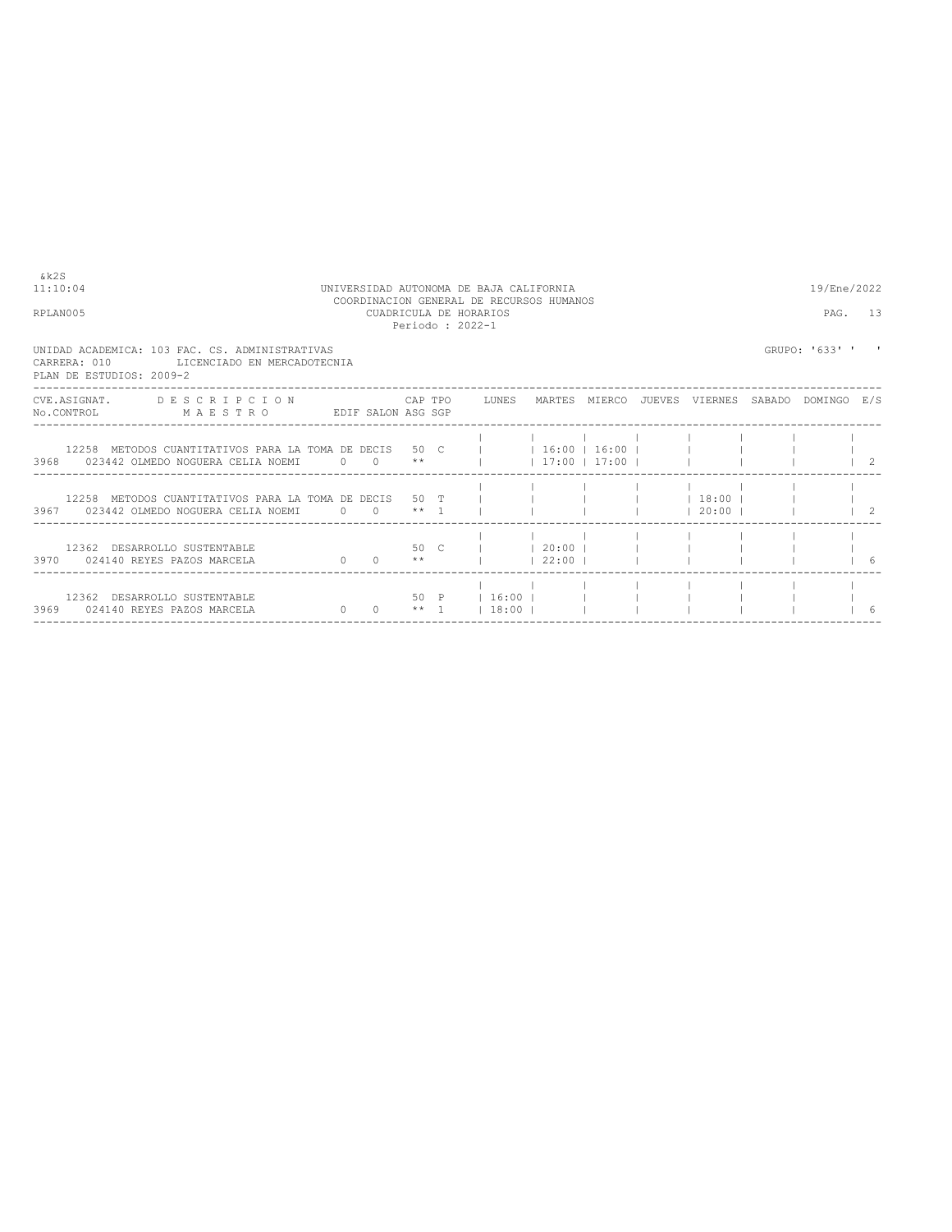| 8 k 2 S<br>11:10:04<br>RPLAN005                                                                                                |                        |      | UNIVERSIDAD AUTONOMA DE BAJA CALIFORNIA<br>COORDINACION GENERAL DE RECURSOS HUMANOS<br>CUADRICULA DE HORARIOS<br>Periodo: 2022-1 |                                   |  |                           | 19/Ene/2022<br>PAG. 13 |  |
|--------------------------------------------------------------------------------------------------------------------------------|------------------------|------|----------------------------------------------------------------------------------------------------------------------------------|-----------------------------------|--|---------------------------|------------------------|--|
| UNIDAD ACADEMICA: 103 FAC. CS. ADMINISTRATIVAS<br>CARRERA: 010<br>LICENCIADO EN MERCADOTECNIA<br>PLAN DE ESTUDIOS: 2009-2      |                        |      |                                                                                                                                  |                                   |  |                           | GRUPO: '633' '         |  |
| CVE.ASIGNAT. DESCRIPCION CAPTPO LUNES MARTES MIERCO JUEVES VIERNES SABADO DOMINGO E/S<br>No.CONTROL MAESTRO EDIF SALON ASG SGP |                        |      |                                                                                                                                  |                                   |  |                           |                        |  |
| 12258 METODOS CUANTITATIVOS PARA LA TOMA DE DECIS 50 C<br>3968 023442 OLMEDO NOGUERA CELIA NOEMI 0 0 **                        |                        |      |                                                                                                                                  | $1$ 16:00 16:00 1<br> 17:00 17:00 |  |                           |                        |  |
| 12258 METODOS CUANTITATIVOS PARA LA TOMA DE DECIS - 50 T<br>3967 023442 OLMEDO NOGUERA CELIA NOEMI 0 0 ** 1                    |                        |      |                                                                                                                                  |                                   |  | $1$ 18:00 1<br>$120:00$ 1 |                        |  |
| 12362 DESARROLLO SUSTENTABLE<br>3970 024140 REYES PAZOS MARCELA                                                                | $0 \t 0 \t \star\star$ | 50 C | $1 \t 20:00 \t 1$                                                                                                                | $122:00$ 1                        |  |                           |                        |  |
| 12362 DESARROLLO SUSTENTABLE<br>3969 024140 REYES PAZOS MARCELA                                                                | $\Omega$               |      | 50 P   16:00    <br>$0 \qquad$ ** 1   18:00                                                                                      |                                   |  |                           |                        |  |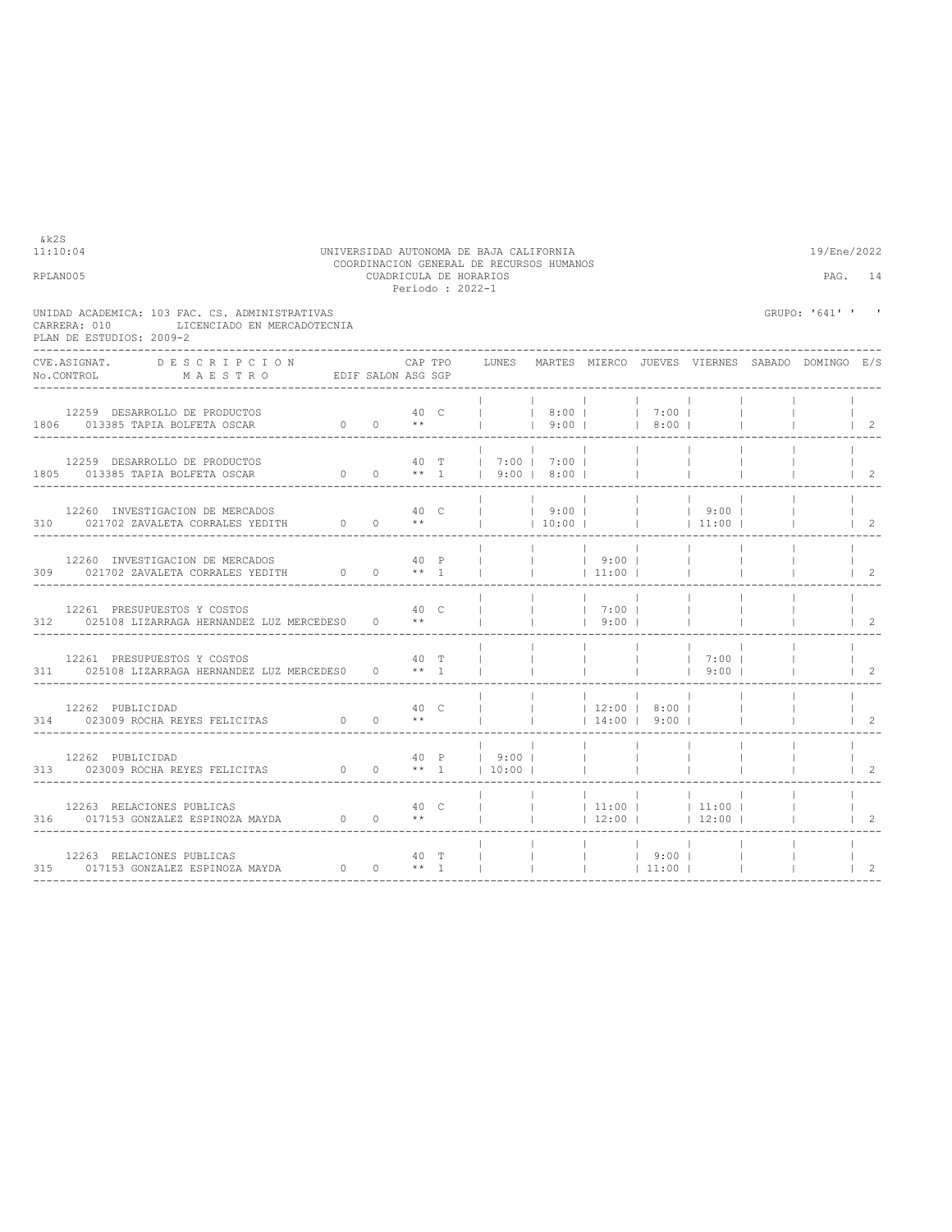|                                                                                                                           |                                                                             |      |                             | Periodo : 2022-1 |                             |                          |                                  |                                      |                                        |                                                               |                                  |
|---------------------------------------------------------------------------------------------------------------------------|-----------------------------------------------------------------------------|------|-----------------------------|------------------|-----------------------------|--------------------------|----------------------------------|--------------------------------------|----------------------------------------|---------------------------------------------------------------|----------------------------------|
| UNIDAD ACADEMICA: 103 FAC. CS. ADMINISTRATIVAS<br>LICENCIADO EN MERCADOTECNIA<br>CARRERA: 010<br>PLAN DE ESTUDIOS: 2009-2 |                                                                             |      |                             |                  |                             |                          |                                  |                                      |                                        | GRUPO: '641' ' '                                              |                                  |
| CVE.ASIGNAT. DESCRIPCION CAPTPO<br>No.CONTROL MAESTRO EDIFSALON ASGSGP                                                    |                                                                             |      |                             |                  |                             |                          |                                  |                                      |                                        | CAP TPO LUNES MARTES MIERCO JUEVES VIERNES SABADO DOMINGO E/S |                                  |
| 12259 DESARROLLO DE PRODUCTOS<br>1806 013385 TAPIA BOLFETA OSCAR                                                          | $\begin{matrix} & & & 40 & \text{C} \\ 0 & & 0 & & \star\star \end{matrix}$ |      |                             |                  |                             |                          |                                  | $ $   8:00   7:00  <br>  9:00   8:00 |                                        |                                                               | $\begin{array}{ccc} \end{array}$ |
| 12259 DESARROLLO DE PRODUCTOS                                                                                             |                                                                             |      |                             |                  |                             | 40 T   7:00   7:00       |                                  | <b>Contract</b>                      |                                        |                                                               | $\overline{2}$                   |
| 12260 INVESTIGACION DE MERCADOS<br>310 021702 ZAVALETA CORRALES YEDITH 0 0 **   10:00     11:00   11:00                   |                                                                             | 40 с |                             |                  |                             |                          |                                  |                                      | $ $ 19:00   19:00   9:00               |                                                               | $1 \quad 2$                      |
| 12260 INVESTIGACION DE MERCADOS<br>309 021702 ZAVALETA CORRALES YEDITH 0 0 ** 1                                           |                                                                             |      | 40 P                        |                  | $\frac{1}{1}$ $\frac{1}{1}$ |                          | $1\quad 9:00$ 1<br> 11:00        |                                      |                                        |                                                               | $1\quad 2$                       |
| 12261 PRESUPUESTOS Y COSTOS<br>312 025108 LIZARRAGA HERNANDEZ LUZ MERCEDES0                                               |                                                                             |      | 40 C<br>$0 \longrightarrow$ |                  |                             |                          | $1 \t7:00 \t1$<br>$1 \t9:00 \t1$ |                                      |                                        |                                                               | 2                                |
| 12261 PRESUPUESTOS Y COSTOS<br>311 025108 LIZARRAGA HERNANDEZ LUZ MERCEDES0 0 ** 1                                        |                                                                             |      | 40 T                        |                  |                             |                          |                                  | <b>Contract Contract</b>             | $1 \t7:00 \t1$<br>$1 \t9:00 \t1$       |                                                               | $1 \quad 2$                      |
|                                                                                                                           |                                                                             |      |                             |                  |                             | <b>Contract Contract</b> |                                  | $12:00$   8:00  <br>$14:00$   9:00   |                                        |                                                               | $\overline{2}$                   |
| 12262 PUBLICIDAD $40$ P   9:00     1<br>313 023009 ROCHA REYES FELICITAS 0 0 ** 1   10:00                                 |                                                                             |      |                             |                  |                             |                          |                                  |                                      |                                        |                                                               | $\mathcal{L}$                    |
| 12263 RELACIONES PUBLICAS<br>316 017153 GONZALEZ ESPINOZA MAYDA 0 0 **                                                    |                                                                             |      | 40 C                        |                  |                             | <b>Contractor</b>        |                                  |                                      | $ 11:00 $ $ 11:00 $<br>$12:00$   12:00 |                                                               | 2                                |
| 12263 RELACIONES PUBLICAS<br>315 017153 GONZALEZ ESPINOZA MAYDA                                                           | $\sim$ 0                                                                    |      | 40 T<br>$0 \times 1$        |                  |                             |                          |                                  | $ $ 9:00                             |                                        |                                                               | $\overline{c}$                   |

----------------------------------------------------------------------------------------------------------------------------------

11:10:04 UNIVERSIDAD AUTONOMA DE BAJA CALIFORNIA 19/Ene/2022 COORDINACION GENERAL DE RECURSOS HUMANOS RPLAN005 CUADRICULA DE HORARIOS PAG. 14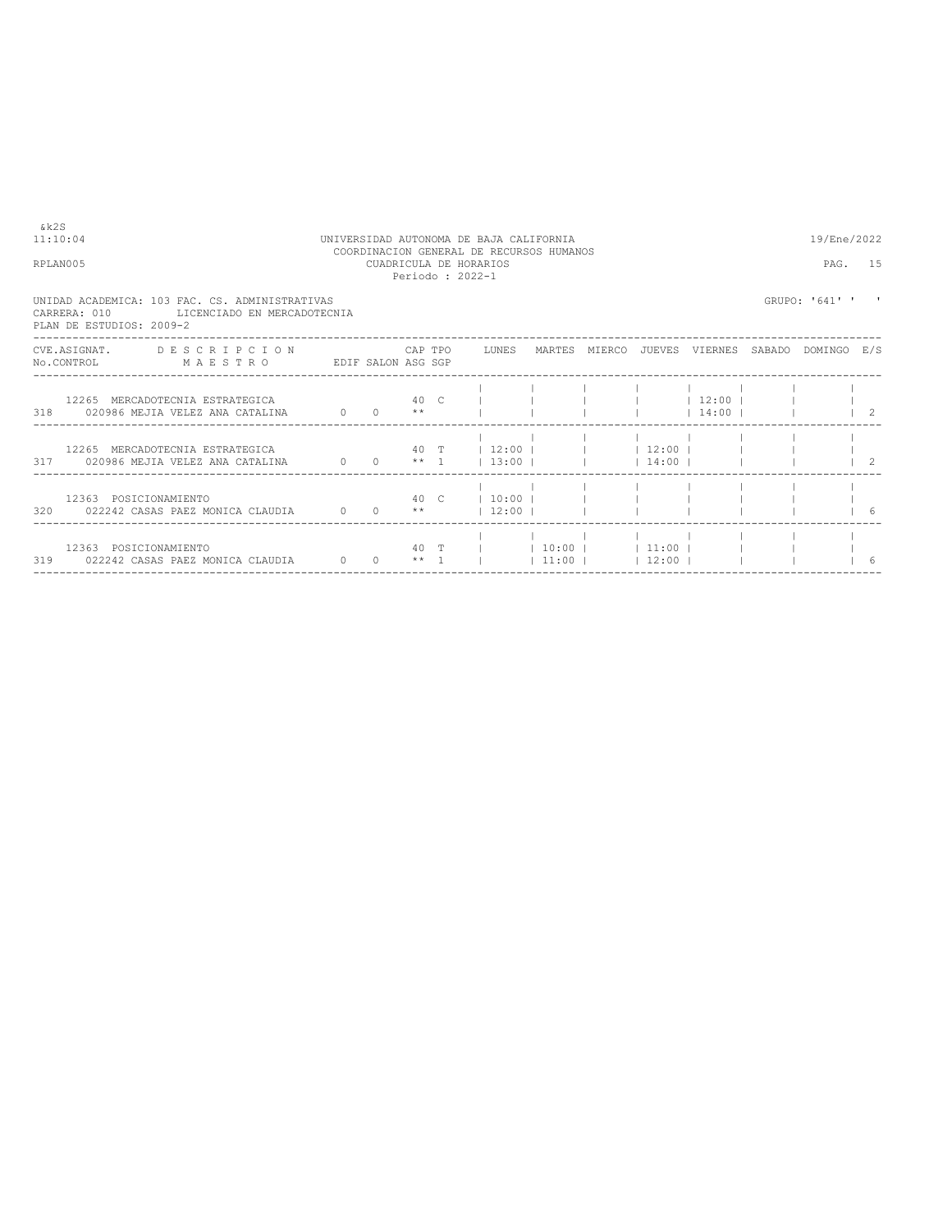| 11:10:04                                 |                                                                               |              |                    |               |                 | UNIVERSIDAD AUTONOMA DE BAJA CALIFORNIA<br>COORDINACION GENERAL DE RECURSOS HUMANOS |               |                               |                        |        | 19/Ene/2022    |                |
|------------------------------------------|-------------------------------------------------------------------------------|--------------|--------------------|---------------|-----------------|-------------------------------------------------------------------------------------|---------------|-------------------------------|------------------------|--------|----------------|----------------|
| RPLAN005                                 |                                                                               |              |                    |               | Periodo: 2022-1 | CUADRICULA DE HORARIOS                                                              |               |                               |                        |        | PAG.           | 15             |
| CARRERA: 010<br>PLAN DE ESTUDIOS: 2009-2 | UNIDAD ACADEMICA: 103 FAC. CS. ADMINISTRATIVAS<br>LICENCIADO EN MERCADOTECNIA |              |                    |               |                 |                                                                                     |               |                               |                        |        | GRUPO: '641' ' |                |
| CVE ASIGNAT.<br>No.CONTROL               | DESCRIPCION<br>MAESTRO                                                        |              | EDIF SALON ASG SGP | CAP TPO       |                 | LUNES                                                                               | MARTES MIERCO | JUEVES                        | VIERNES                | SABADO | DOMINGO E/S    |                |
| 318                                      | 12265 MERCADOTECNIA ESTRATEGICA<br>020986 MEJIA VELEZ ANA CATALINA            | $0 \qquad 0$ |                    | 40 C<br>$* *$ |                 |                                                                                     |               |                               | $12:00$  <br>$14:00$ 1 |        |                | $\overline{2}$ |
| 217                                      | 12265 MERCADOTECNIA ESTRATEGICA                                               |              |                    | 40 T          |                 | $12:00$                                                                             |               | $12:00$ 1<br>$1.14 \cdot 001$ |                        |        |                | $\gamma$       |

|     | CVE.ASIGNAT.<br>No.CONTROL | DESCRIPCION<br>MAESTRO                                             | EDIF SALON ASG SGP                           |      | CAP TPO              | LUNES                                    | MARTES | MIERCO                     | JUEVES  | VIERNES          | SABADO | DOMINGO | E/S        |
|-----|----------------------------|--------------------------------------------------------------------|----------------------------------------------|------|----------------------|------------------------------------------|--------|----------------------------|---------|------------------|--------|---------|------------|
| 318 |                            | 12265 MERCADOTECNIA ESTRATEGICA<br>020986 MEJIA VELEZ ANA CATALINA | $\begin{array}{cccc} 0 & 0 \end{array}$      | 40 C | $* *$                |                                          |        |                            |         | 12:00 <br> 14:00 |        |         |            |
| 317 |                            | 12265 MERCADOTECNIA ESTRATEGICA<br>020986 MEJIA VELEZ ANA CATALINA | $\begin{array}{ccc} & & 0 & & 0 \end{array}$ | 40 T | $***\quad1$          | $12:00$  <br>$1\,3:00$ $1$ $1\,4:00$ $1$ |        | 12:00                      |         |                  |        |         |            |
| 320 |                            | 12363 POSICIONAMIENTO<br>022242 CASAS PAEZ MONICA CLAUDIA 0 0      |                                              |      | 40 C<br>$\star\star$ | 10:001<br>$12:00$ 1                      |        |                            |         |                  |        |         |            |
| 319 |                            | 12363 POSICIONAMIENTO<br>022242 CASAS PAEZ MONICA CLAUDIA          | $0\qquad 0$                                  |      | $***$ 1              | 40 T                                     |        | 10:00   11:00  <br>$11:00$ | $12:00$ |                  |        |         | $\epsilon$ |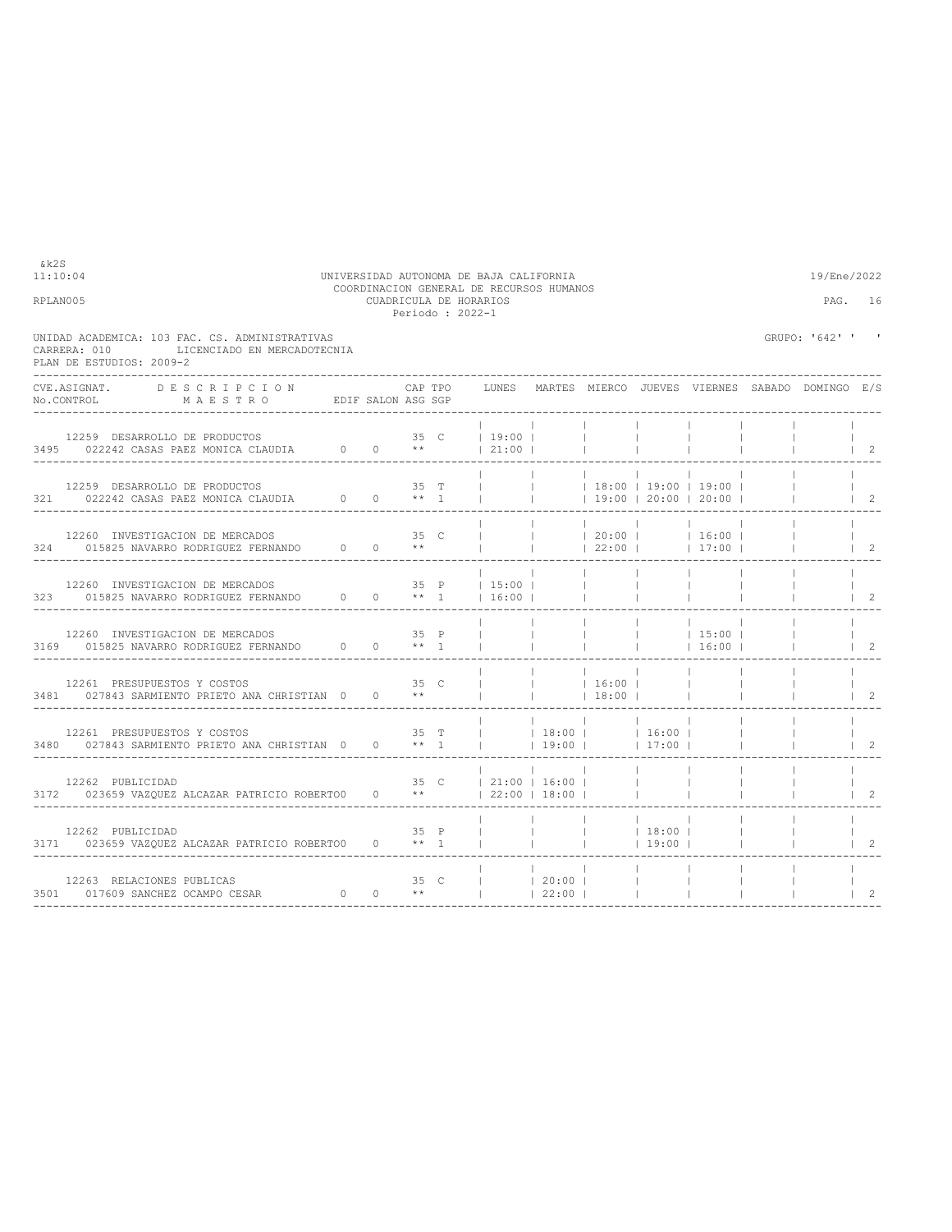| RPLAN005                                                                                                                                           |                                   | CUADRICULA DE HORARIOS<br>Periodo: 2022-1 |                                                               |                 |                                                   |                                            |                                                              | PAG.                                            | 16                         |
|----------------------------------------------------------------------------------------------------------------------------------------------------|-----------------------------------|-------------------------------------------|---------------------------------------------------------------|-----------------|---------------------------------------------------|--------------------------------------------|--------------------------------------------------------------|-------------------------------------------------|----------------------------|
| UNIDAD ACADEMICA: 103 FAC. CS. ADMINISTRATIVAS<br>LICENCIADO EN MERCADOTECNIA<br>CARRERA: 010<br>PLAN DE ESTUDIOS: 2009-2                          |                                   |                                           |                                                               |                 |                                                   |                                            |                                                              | GRUPO: '642' ' '                                |                            |
| CVE.ASIGNAT.<br>DESCRIPCION<br>MAESTRO EDIFSALON ASG SGP<br>No.CONTROL                                                                             | CAP TPO                           |                                           | LUNES                                                         |                 |                                                   |                                            |                                                              | MARTES MIERCO JUEVES VIERNES SABADO DOMINGO E/S |                            |
| 12259 DESARROLLO DE PRODUCTOS<br>$3495$ 022242 CASAS PAEZ MONICA CLAUDIA 0 0 **                                                                    | 35 C                              |                                           | $19:00$  <br> 21:00                                           |                 |                                                   |                                            |                                                              |                                                 | $\overline{2}$             |
| 12259 DESARROLLO DE PRODUCTOS<br>321 022242 CASAS PAEZ MONICA CLAUDIA 0 0 ** 1                                                                     | 35 T                              |                                           | $\mathbf{1}$                                                  | <b>Contract</b> |                                                   |                                            | $ $ 18:00   19:00   19:00  <br>$\vert$ 19:00   20:00   20:00 |                                                 | $\vert$ 2                  |
| $\begin{tabular}{lcccccc} 12260 & INVESTIGACION DE MERCADOS & 0 & 35 & C \\ 324 & 015825 NAVARRO RODRIGUEZ FERNANDO & 0 & 0 & ** \\ \end{tabular}$ | 35 C                              |                                           | $\mathbb{L}$                                                  |                 | 22:00                                             |                                            | $ $ $ $ 20:00 $ $ $ $ 16:00 $ $<br> 17:00                    |                                                 | $\overline{\phantom{0}}^2$ |
| 12260 INVESTIGACION DE MERCADOS $323$ 015825 NAVARRO RODRIGUEZ FERNANDO $0$ 0 ** 1                                                                 |                                   |                                           | 35 P   15:00  <br>16:00                                       |                 | <b>Contract Contract</b>                          |                                            |                                                              |                                                 | $\overline{2}$             |
| 12260 INVESTIGACION DE MERCADOS                                                                                                                    | 35 P                              |                                           |                                                               |                 |                                                   | $\blacksquare$<br><b>Contract Contract</b> | $ $ 15:00  <br>$16:00$                                       |                                                 | 2                          |
| 12261 PRESUPUESTOS Y COSTOS<br>3481 027843 SARMIENTO PRIETO ANA CHRISTIAN 0                                                                        | 35 C<br>$0 \rightarrow \ast \ast$ |                                           |                                                               |                 | <b>Contract Contract</b><br>$ $ 16:00  <br> 18:00 |                                            |                                                              |                                                 | 2                          |
| 12261 PRESUPUESTOS Y COSTOS<br>3480 027843 SARMIENTO PRIETO ANA CHRISTIAN 0 0 ** 1                                                                 |                                   |                                           | 35 T     18:00     16:00  <br>$\mathbf{1}$                    |                 | $\blacksquare$<br>$19:00$ $17:00$ $1$             |                                            |                                                              |                                                 | 2                          |
| 12262 PUBLICIDAD<br>3172 023659 VAZQUEZ ALCAZAR PATRICIO ROBERTOO                                                                                  | $0 \longrightarrow$               |                                           | 35 C   21:00   16:00  <br>$\vert$ 22:00 $\vert$ 18:00 $\vert$ |                 |                                                   | <b>Contract Contract</b>                   |                                                              |                                                 | $\mathcal{L}$              |
| 12262 PUBLICIDAD<br>3171 023659 VAZOUEZ ALCAZAR PATRICIO ROBERTO0 0 ** 1                                                                           | 35 P                              |                                           |                                                               |                 | $\mathbb{R}^n$<br><b>Contractor</b>               | $\sim$ 1.000 $\sim$<br>$\sim$ 1<br>$19:00$ |                                                              |                                                 | 2                          |
| 12263 RELACIONES PUBLICAS<br>3501 017609 SANCHEZ OCAMPO CESAR                                                                                      |                                   |                                           | 35 C     20:00                                                | 22:00           | $\sim$ 1.0                                        | <b>Contract</b>                            |                                                              |                                                 | 2                          |

11:10:04 UNIVERSIDAD AUTONOMA DE BAJA CALIFORNIA 19/Ene/2022 COORDINACION GENERAL DE RECURSOS HUMANOS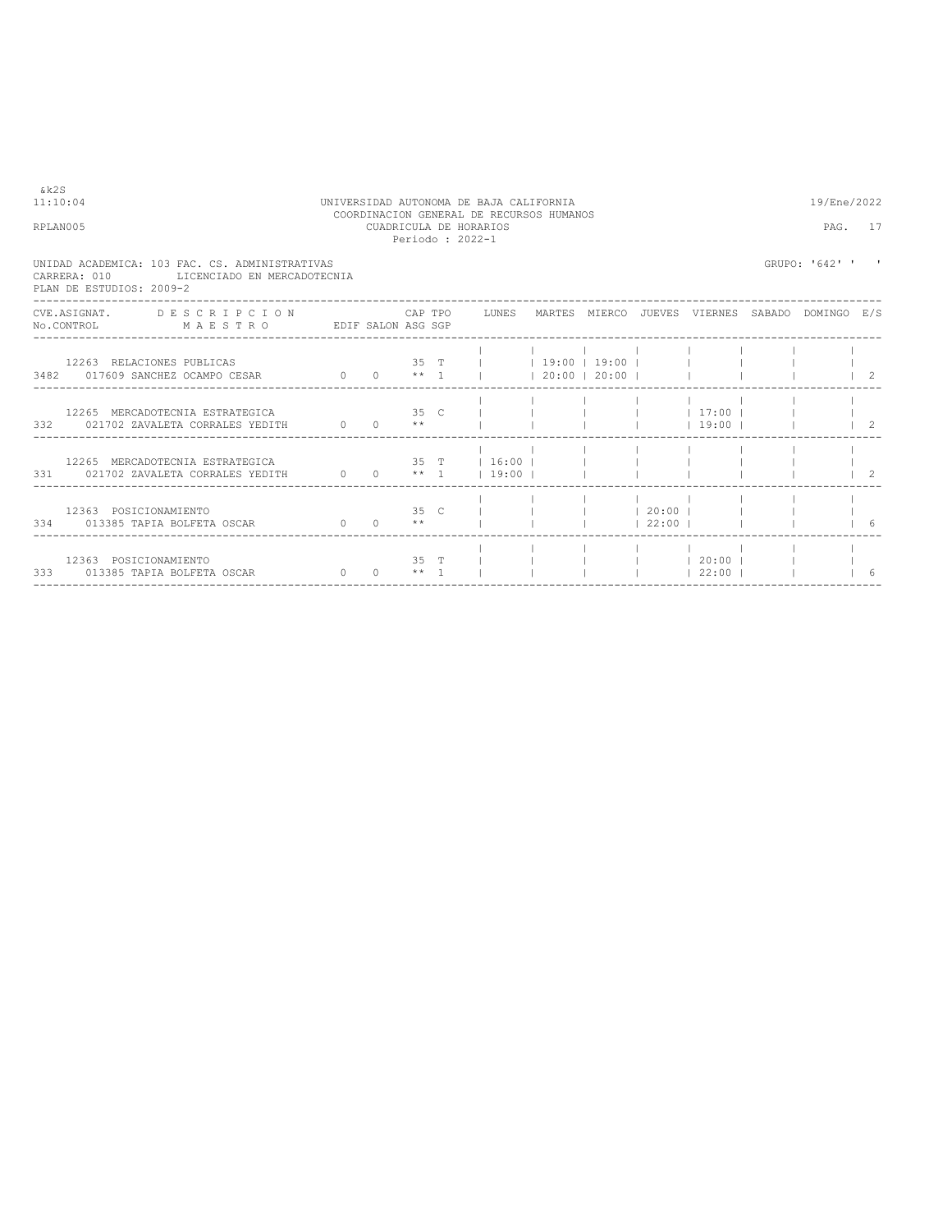| & k2S | 11:10:04<br>RPLAN005                                                                                                            |  |  | UNIVERSIDAD AUTONOMA DE BAJA CALIFORNIA<br>COORDINACION GENERAL DE RECURSOS HUMANOS<br>CUADRICULA DE HORARIOS<br>Periodo: 2022-1 |  |            |                                 | 19/Ene/2022<br>PAG. 17 |                                      |
|-------|---------------------------------------------------------------------------------------------------------------------------------|--|--|----------------------------------------------------------------------------------------------------------------------------------|--|------------|---------------------------------|------------------------|--------------------------------------|
|       | UNIDAD ACADEMICA: 103 FAC. CS. ADMINISTRATIVAS<br>CARRERA: 010<br>LICENCIADO EN MERCADOTECNIA<br>PLAN DE ESTUDIOS: 2009-2       |  |  |                                                                                                                                  |  |            |                                 | GRUPO: '642' ' '       |                                      |
|       | CVE.ASIGNAT. DESCRIPCION CAPTPO LUNES MARTES MIERCO JUEVES VIERNES SABADO DOMINGO E/S<br>No. CONTROL MAESTRO EDIF SALON ASG SGP |  |  |                                                                                                                                  |  |            |                                 |                        |                                      |
|       | 12263 RELACIONES PUBLICAS<br>12263 RELACIONES PUBLICAS<br>3482 017609 SANCHEZ OCAMPO CESAR 0 0 0 ** 1   20:00   20:00           |  |  | 35 T   19:00   19:00                                                                                                             |  |            |                                 |                        | $\begin{array}{ccc} & 2 \end{array}$ |
|       | 332 021702 ZAVALETA CORRALES YEDITH $0 \t 0 \t \star$                                                                           |  |  |                                                                                                                                  |  |            | $19:00$ $1$                     |                        | $1\quad 2$                           |
|       | $12265$ MERCADOTECNIA ESTRATEGICA $35$ T $\,$   16:00   $\,$  <br>331 021702 ZAVALETA CORRALES YEDITH 0 0 0 ** 1 19:00          |  |  |                                                                                                                                  |  |            |                                 |                        |                                      |
|       | 12363 POSICIONAMIENTO<br>334 013385 TAPIA BOLFETA OSCAR $0 \t 0 \t \star \t 1$                                                  |  |  | 35 C I I I 20:00 I                                                                                                               |  | $122:00$ 1 |                                 |                        |                                      |
|       | 12363 POSICIONAMIENTO<br>333 013385 TAPIA BOLFETA OSCAR 0 0 0 ** 1 1                                                            |  |  | $35$ T $\vert$                                                                                                                   |  |            | $1 \t 20:00 \t 1$<br>$122:00$ 1 |                        |                                      |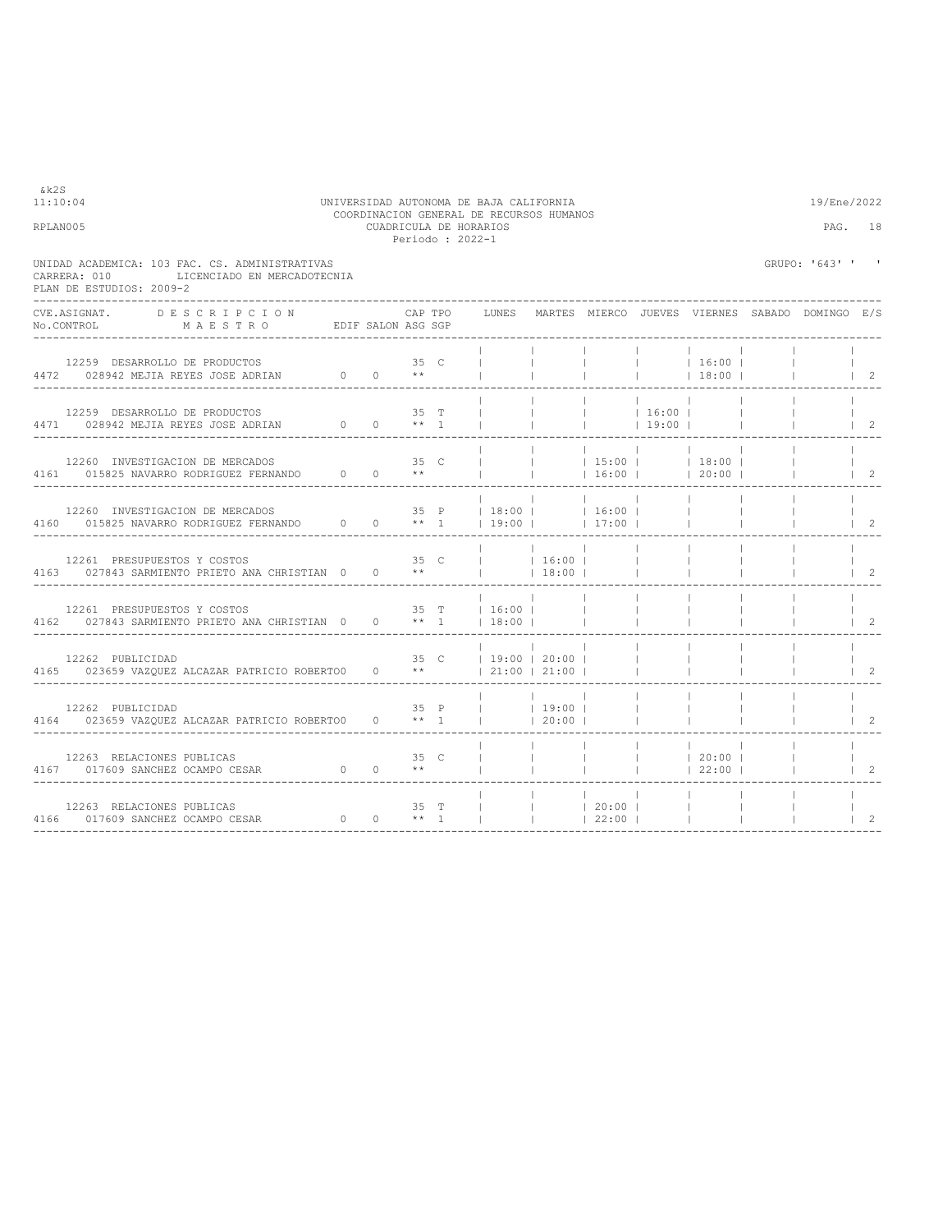| 11:10:04<br>RPLAN005 |                                                                                                                                                                                                   |  |      | Periodo : 2022-1 | UNIVERSIDAD AUTONOMA DE BAJA CALIFORNIA<br>COORDINACION GENERAL DE RECURSOS HUMANOS<br>CUADRICULA DE HORARIOS |                                 |                                                                                                |                                                      |                                        |                 | 19/Ene/2022      | PAG. 18                              |
|----------------------|---------------------------------------------------------------------------------------------------------------------------------------------------------------------------------------------------|--|------|------------------|---------------------------------------------------------------------------------------------------------------|---------------------------------|------------------------------------------------------------------------------------------------|------------------------------------------------------|----------------------------------------|-----------------|------------------|--------------------------------------|
|                      | UNIDAD ACADEMICA: 103 FAC. CS. ADMINISTRATIVAS<br>LICENCIADO EN MERCADOTECNIA<br>CARRERA: 010<br>PLAN DE ESTUDIOS: 2009-2                                                                         |  |      |                  |                                                                                                               |                                 |                                                                                                |                                                      |                                        |                 | GRUPO: '643' ' ' |                                      |
|                      | CVE.ASIGNAT.<br>DESCRIPCION<br>No.CONTROL MAESTRO EDIF SALON ASG SGP                                                                                                                              |  |      | CAP TPO          | LUNES MARTES MIERCO JUEVES VIERNES SABADO DOMINGO E/S                                                         |                                 |                                                                                                |                                                      |                                        |                 |                  |                                      |
|                      | 12259 DESARROLLO DE PRODUCTOS<br>4472 028942 MEJIA REYES JOSE ADRIAN $0$ 0 $**$                                                                                                                   |  | 35 C |                  |                                                                                                               | $\sim$ 1.                       |                                                                                                | <b>Contract Contract</b><br><b>Contract Contract</b> | 16:00 <br> 18:00                       |                 |                  | $\begin{array}{ccc} & 2 \end{array}$ |
|                      | 12259 DESARROLLO DE PRODUCTOS<br>4471 028942 MEJIA REYES JOSE ADRIAN 0 0 ** 1                                                                                                                     |  |      | $35$ T           | $\blacksquare$<br>$-1$                                                                                        | $\mathbb{R}$<br><b>Contract</b> | <b>Contract</b><br>$\begin{array}{ccccccc}   &   & 16:00 &   \\   &   & 19:00 &   \end{array}$ |                                                      |                                        |                 |                  | $\begin{array}{ccc} \end{array}$     |
|                      | 12260 INVESTIGACION DE MERCADOS $35$ C<br>4161 015825 NAVARRO RODRIGUEZ FERNANDO $0$ 0 **                                                                                                         |  |      |                  | $\frac{1}{20}$ 16:00   20:00                                                                                  | <b>Contract</b>                 |                                                                                                |                                                      | $ 15:00 $ $ 18:00 $                    |                 |                  | $1 \quad 2$                          |
|                      | 12260 INVESTIGACION DE MERCADOS                                                                                                                                                                   |  |      |                  | 35 P   18:00     16:00                                                                                        |                                 |                                                                                                |                                                      |                                        |                 |                  | $\overline{\phantom{0}}^2$           |
|                      | 12261 PRESUPUESTOS Y COSTOS 35 C<br>4163 027843 SARMIENTO PRIETO ANA CHRISTIAN 0 0 **     18:00                                                                                                   |  |      |                  | $\frac{1}{1}$ 16:00                                                                                           | <b>Contract Contract</b>        |                                                                                                |                                                      |                                        |                 |                  | 2                                    |
|                      | $35 T$   16:00  <br>12261 PRESUPUESTOS Y COSTOS<br>4162 027843 SARMIENTO PRIETO ANA CHRISTIAN 0 0 ** 1                                                                                            |  |      |                  | $18:00$                                                                                                       |                                 | <b>Contract Contract</b>                                                                       |                                                      |                                        |                 |                  |                                      |
|                      | 12262 PUBLICIDAD<br>4165 023659 VAZOUEZ ALCAZAR PATRICIO ROBERTO0 0 **   21:00   21:00                                                                                                            |  |      |                  | 35 C   19:00   20:00                                                                                          |                                 | $\sim$ 1.<br>$\sim$ 1.                                                                         |                                                      |                                        |                 |                  | 2                                    |
|                      | 12262 PUBLICIDAD 35 P   19:00   164 023659 VAZQUEZ ALCAZAR PATRICIO ROBERTOO 0 ** 1     20:00                                                                                                     |  |      |                  |                                                                                                               |                                 |                                                                                                | <b>Contract</b>                                      |                                        |                 |                  | $1 \quad 2$                          |
|                      | $12263 \quad \hbox{RELACIONES PUBLICAS} \qquad \qquad 35 \quad \hbox{C} \\ 4167 \qquad \hbox{017609 SANCHEZ OCAMPO CESAR} \qquad \qquad 0 \qquad \qquad 0 \qquad \quad ^{\star \star} \\$         |  |      |                  | and the contract of the contract                                                                              |                                 | <b>Contract Contract</b>                                                                       |                                                      | $ $ $ $ 20:00 $ $<br>$ $ $ $ 22:00 $ $ |                 |                  | $\mathfrak{D}$                       |
|                      | $12263 \quad \hbox{RELACIONES PUBLICAS} \qquad \qquad 35 \quad \hbox{T} \\ 4166 \qquad 017609 \quad \hbox{SANCEEZ OCAMPO CESAR} \qquad \qquad 0 \qquad \qquad 0 \qquad \quad \star \star \quad 1$ |  |      |                  |                                                                                                               |                                 |                                                                                                |                                                      | <b>Contract Contract</b>               | <b>Contract</b> |                  | $\overline{2}$                       |

&k2S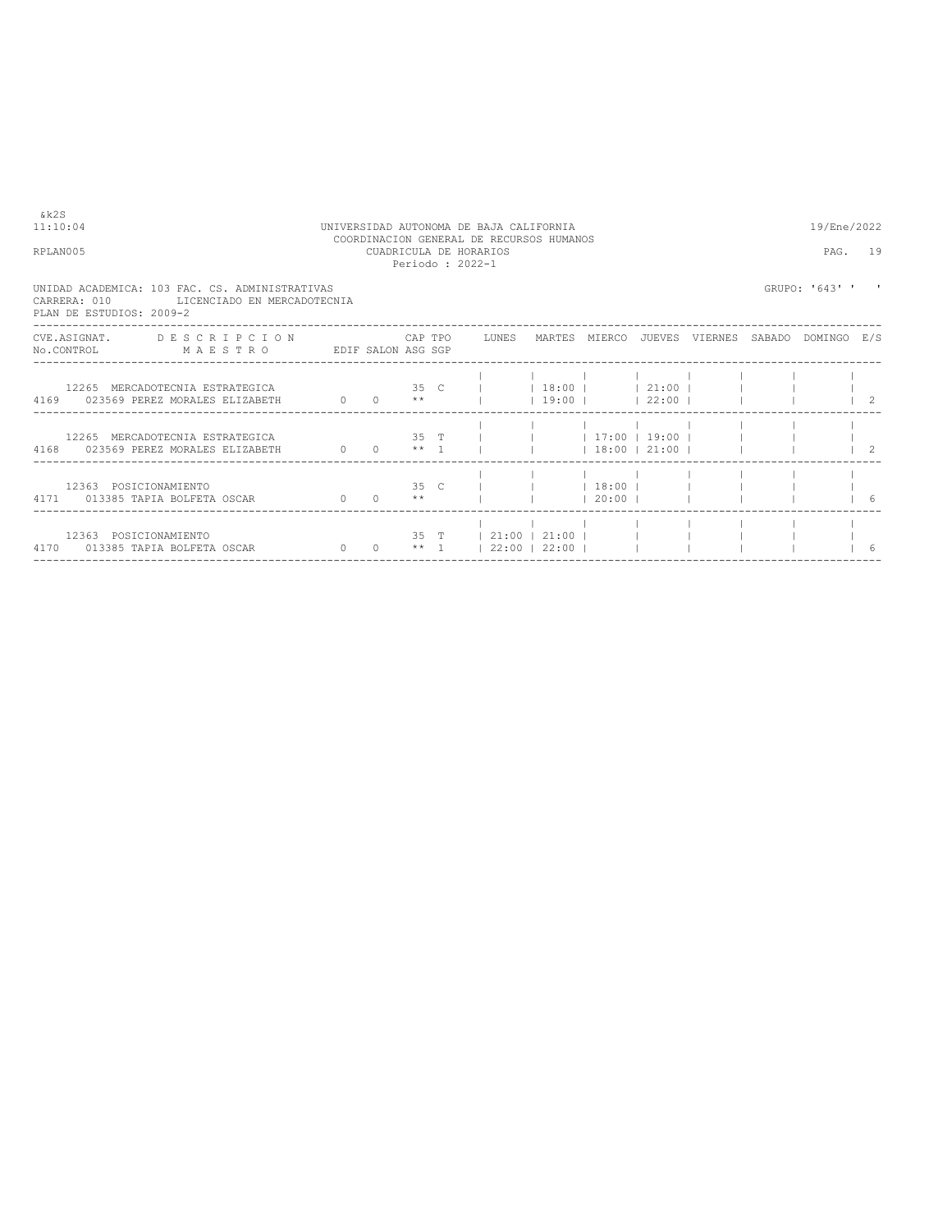| RPLAN005                                                                                                                       |  | Periodo: 2022-1 | COORDINACION GENERAL DE RECURSOS HUMANOS<br>CUADRICULA DE HORARIOS |                     |  | PAG.           | 19                              |
|--------------------------------------------------------------------------------------------------------------------------------|--|-----------------|--------------------------------------------------------------------|---------------------|--|----------------|---------------------------------|
| UNIDAD ACADEMICA: 103 FAC. CS. ADMINISTRATIVAS<br>CARRERA: 010 LICENCIADO EN MERCADOTECNIA<br>PLAN DE ESTUDIOS: 2009-2         |  |                 |                                                                    |                     |  | GRUPO: '643' ' |                                 |
| CVE.ASIGNAT. DESCRIPCION CAPTPO LUNES MARTES MIERCO JUEVES VIERNES SABADO DOMINGO E/S<br>No.CONTROL MAESTRO EDIF SALON ASG SGP |  |                 |                                                                    |                     |  |                |                                 |
| $0 \t 0 \t *\t\t*\t$<br>4169 023569 PEREZ MORALES ELIZABETH                                                                    |  |                 |                                                                    | $ 19:00 $ $ 22:00 $ |  |                | $\begin{array}{cc} \end{array}$ |
| 12265 MERCADOTECNIA ESTRATEGICA<br>$0 \quad 0 \quad * \quad 1$<br>4168 023569 PEREZ MORALES ELIZABETH                          |  |                 | 35 T       17:00   19:00                                           |                     |  |                |                                 |
| 12363 POSICIONAMIENTO<br>$0 \t 0 \t *\t\t*$<br>4171 013385 TAPIA BOLFETA OSCAR                                                 |  |                 | 35 C       18:00                                                   | $120:00$ 1          |  |                | 16                              |
| 12363 POSICIONAMIENTO<br>4170 013385 TAPIA BOLFETA OSCAR                                                                       |  |                 | 35 T   21:00   21:00  <br>0 0 $**$ 1   22:00   22:00               |                     |  |                | 6                               |

## 11:10:04 UNIVERSIDAD AUTONOMA DE BAJA CALIFORNIA 19/Ene/2022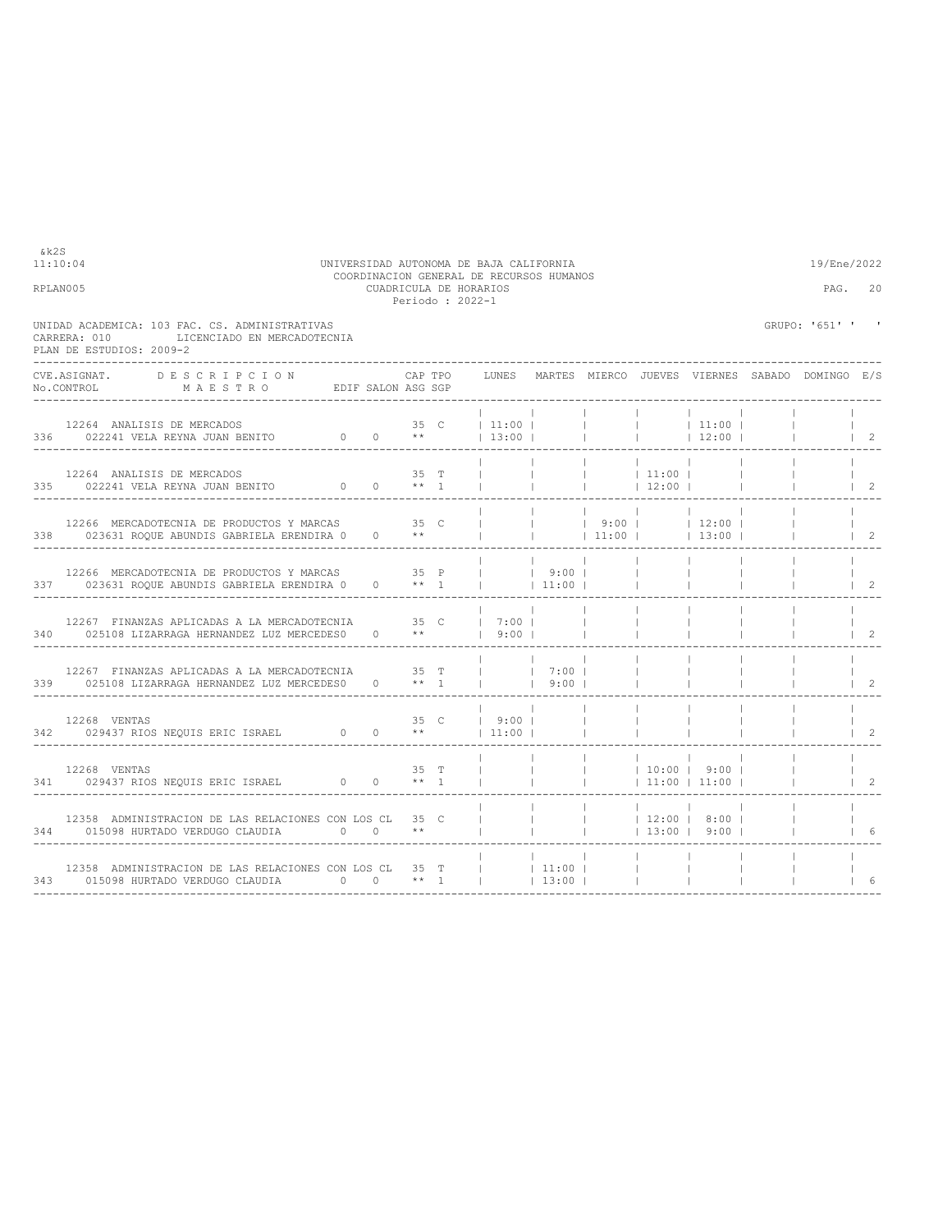| RPLAN005 |                                                                                                                                                                                                                                                                                                                                                                                                                                            |                     | CUADRICULA DE HORARIOS<br>Periodo: 2022-1 | COORDINACION GENERAL DE RECURSOS HUMANOS   |                   |                          |                                |                                                     | PAG.                                                          | 20                                   |
|----------|--------------------------------------------------------------------------------------------------------------------------------------------------------------------------------------------------------------------------------------------------------------------------------------------------------------------------------------------------------------------------------------------------------------------------------------------|---------------------|-------------------------------------------|--------------------------------------------|-------------------|--------------------------|--------------------------------|-----------------------------------------------------|---------------------------------------------------------------|--------------------------------------|
|          | UNIDAD ACADEMICA: 103 FAC. CS. ADMINISTRATIVAS<br>LICENCIADO EN MERCADOTECNIA<br>CARRERA: 010<br>PLAN DE ESTUDIOS: 2009-2                                                                                                                                                                                                                                                                                                                  |                     |                                           |                                            |                   |                          |                                |                                                     | GRUPO: '651' ' '                                              |                                      |
|          | CVE.ASIGNAT. DESCRIPCION<br>$\verb No.CONTROL  \qquad \qquad \verb M A E S T R O  \qquad \qquad \verb EDIF SALON ASG SGP  \qquad \qquad \verb N.75122  \qquad \qquad \verb N.75122  \qquad \qquad \verb N.75122  \qquad \qquad \verb N.75122  \qquad \qquad \verb N.75122  \qquad \qquad \verb N.75122  \qquad \qquad \verb N.75122  \qquad \qquad \verb N.75122  \qquad \qquad \verb N.75122  \qquad \qquad \verb N.75122  \qquad \qquad$ |                     |                                           |                                            |                   |                          |                                |                                                     | CAP TPO LUNES MARTES MIERCO JUEVES VIERNES SABADO DOMINGO E/S |                                      |
|          |                                                                                                                                                                                                                                                                                                                                                                                                                                            |                     |                                           |                                            |                   |                          |                                |                                                     | $\sim$ 1.0 $\sim$                                             | $\vert$ 2                            |
|          | $12264$ ANALISIS DE MERCADOS $$35$$ $125\,$ $1022241$ VELA REYNA JUAN BENITO $$**$$ $1$                                                                                                                                                                                                                                                                                                                                                    |                     | $35$ T                                    |                                            | <b>Contractor</b> | 11:00 <br>$ $ 12:00      |                                |                                                     |                                                               | $\vert$ 2                            |
|          | 12266 MERCADOTECNIA DE PRODUCTOS Y MARCAS 65 35 C<br>338 023631 ROQUE ABUNDIS GABRIELA ERENDIRA 0                                                                                                                                                                                                                                                                                                                                          | $0 \longrightarrow$ |                                           |                                            |                   |                          |                                | $ $ $ $ $ $ 9:00 $ $ 12:00 $ $<br>$ $ 11:00   13:00 |                                                               | $\begin{array}{ccc} \end{array}$     |
|          | 12266 MERCADOTECNIA DE PRODUCTOS Y MARCAS 35 P     9:00    <br>337 023631 ROQUE ABUNDIS GABRIELA ERENDIRA 0                                                                                                                                                                                                                                                                                                                                |                     | $0 \longrightarrow$ $*$ 1                 | <b>College</b>                             | 11:00             |                          | <b>Contract Contract</b>       |                                                     |                                                               | $\begin{array}{ccc} & 2 \end{array}$ |
|          | 12267 FINANZAS APLICADAS A LA MERCADOTECNIA $35$ C $17:00$    <br>025108 LIZARRAGA HERNANDEZ LUZ MERCEDES0 0 **   9:00    <br>340 025108 LIZARRAGA HERNANDEZ LUZ MERCEDES0                                                                                                                                                                                                                                                                 |                     |                                           |                                            |                   | <b>Contract Contract</b> | $\mathbb{R}$                   |                                                     |                                                               |                                      |
|          | 12267 FINANZAS APLICADAS A LA MERCADOTECNIA $35$ T     7:00   339 025108 LIZARRAGA HERNANDEZ LUZ MERCEDES0 0 ** 1     9:00                                                                                                                                                                                                                                                                                                                 |                     |                                           |                                            |                   |                          | <b>College</b><br>$\mathbb{R}$ |                                                     |                                                               | $1\quad 2$                           |
|          |                                                                                                                                                                                                                                                                                                                                                                                                                                            |                     |                                           | $19:00$ $1$                                |                   |                          |                                |                                                     |                                                               | $1 \quad 2$                          |
|          | 12268 VENTAS                                                                                                                                                                                                                                                                                                                                                                                                                               |                     | $35$ T                                    | $\mathbb{R}^n$<br><b>Contract Contract</b> | <b>Contractor</b> |                          |                                | $ $ 10:00   9:00                                    | $\sim$ 1.000 $\sim$                                           | $1\quad 2$                           |
|          | 12358 ADMINISTRACION DE LAS RELACIONES CON LOS CL 35 C                                                                                                                                                                                                                                                                                                                                                                                     |                     |                                           | and the contract of the con-               |                   |                          |                                | $12:00$   8:00  <br>$ $ 13:00   9:00                | <b>College</b>                                                |                                      |
|          | 12358 ADMINISTRACION DE LAS RELACIONES CON LOS CL 35 T<br>343 015098 HURTADO VERDUGO CLAUDIA 0 0 ** 1                                                                                                                                                                                                                                                                                                                                      |                     |                                           |                                            | 11:00 <br> 13:00  |                          | <b>The Company</b>             |                                                     |                                                               | 6                                    |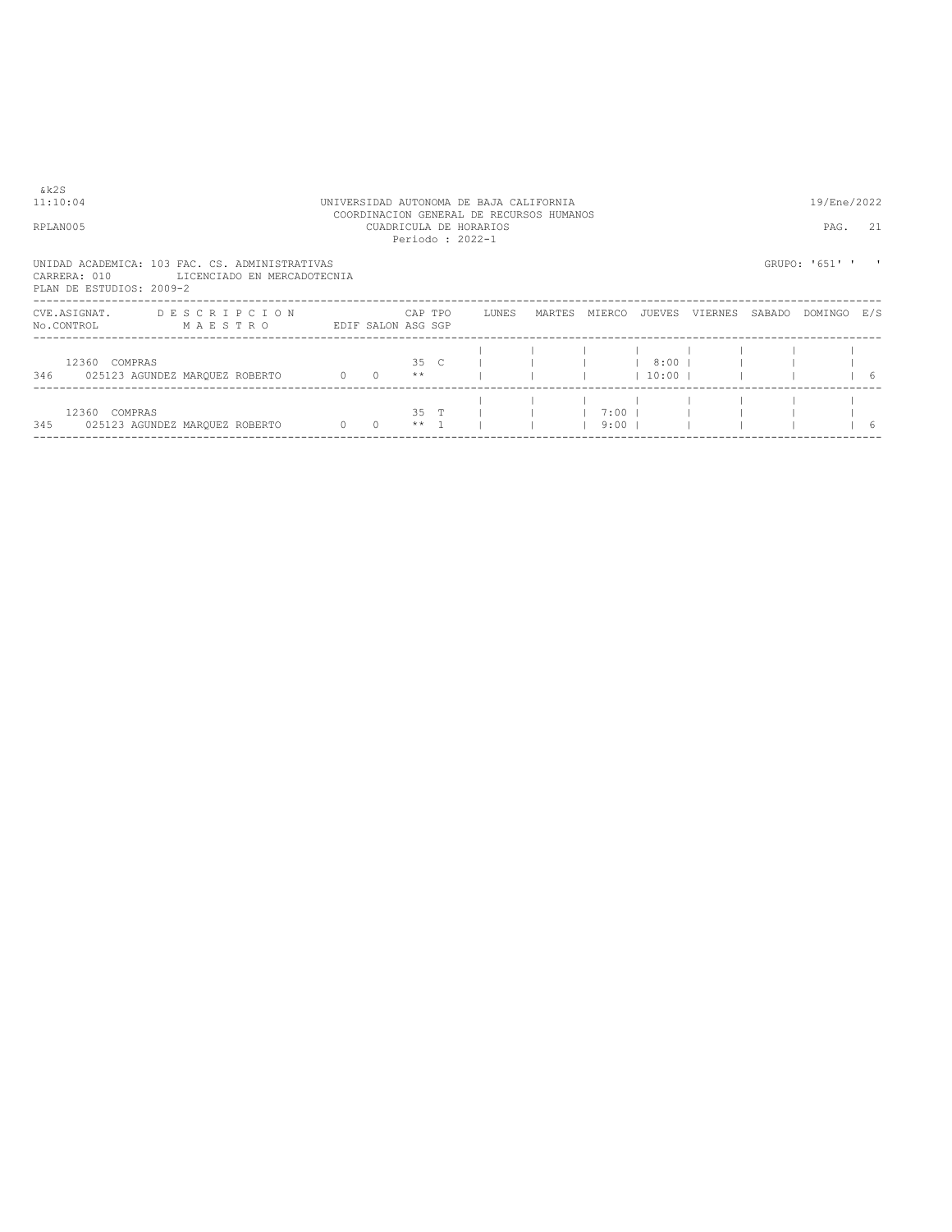| &k2S<br>11:10:04<br>RPLAN005                        |                                                                               |                                              |         | Periodo: 2022-1 | UNIVERSIDAD AUTONOMA DE BAJA CALIFORNIA<br>COORDINACION GENERAL DE RECURSOS HUMANOS<br>CUADRICULA DE HORARIOS |        |                  |                         |         |        | 19/Ene/2022<br>PAG. | 21 |
|-----------------------------------------------------|-------------------------------------------------------------------------------|----------------------------------------------|---------|-----------------|---------------------------------------------------------------------------------------------------------------|--------|------------------|-------------------------|---------|--------|---------------------|----|
| CARRERA: 010<br>PLAN DE ESTUDIOS: 2009-2            | UNIDAD ACADEMICA: 103 FAC. CS. ADMINISTRATIVAS<br>LICENCIADO EN MERCADOTECNIA |                                              |         |                 |                                                                                                               |        |                  |                         |         |        | GRUPO: '651' '      |    |
| CVE.ASIGNAT.<br>No.CONTROL                          | DESCRIPCION<br>MAESTRO                                                        | EDIF SALON ASG SGP                           | CAP TPO |                 | LUNES                                                                                                         | MARTES | MIERCO           | JUEVES                  | VIERNES | SABADO | DOMINGO E/S         |    |
| 12360 COMPRAS<br>346 025123 AGUNDEZ MARQUEZ ROBERTO |                                                                               | $0 \t 0 \t \star\star$                       |         |                 | $35 \quad C \qquad 1$                                                                                         |        |                  | 8:00  <br>$10:00$ $\pm$ |         |        |                     | 16 |
| 12360 COMPRAS<br>345 025123 AGUNDEZ MARQUEZ ROBERTO |                                                                               | $\begin{array}{ccc} & & 0 & & 0 \end{array}$ | $***$ 1 | 35 T            |                                                                                                               |        | $7:00$  <br>9:00 |                         |         |        |                     | 6  |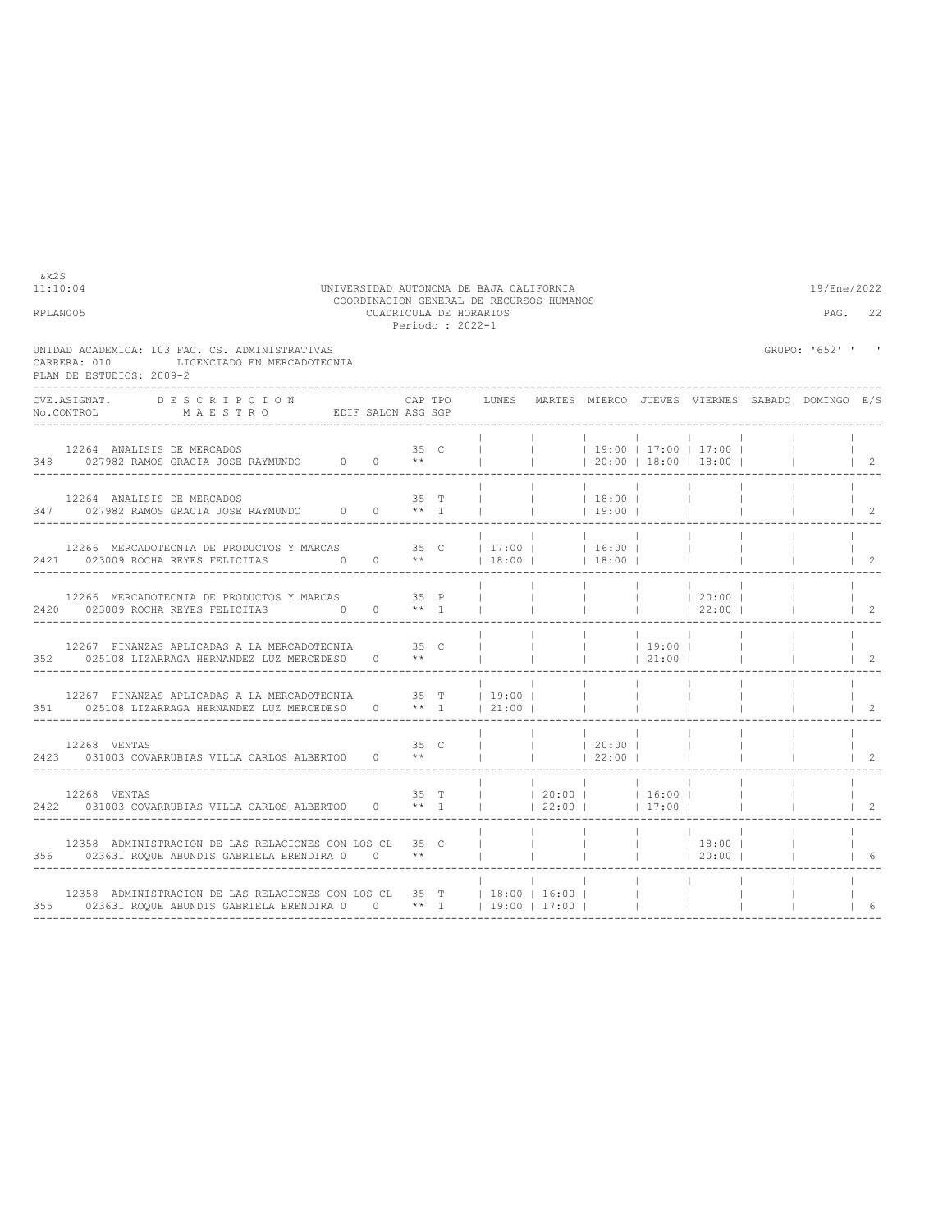| 11:10:04<br>RPLAN005 |                                                                                                                                                 | UNIVERSIDAD AUTONOMA DE BAJA CALIFORNIA | CUADRICULA DE HORARIOS |      |      | Periodo : 2022-1         |                    | COORDINACION GENERAL DE RECURSOS HUMANOS |                                                                                                                |                 |                        |                                  | 19/Ene/2022<br>PAG.                                           | 22                               |
|----------------------|-------------------------------------------------------------------------------------------------------------------------------------------------|-----------------------------------------|------------------------|------|------|--------------------------|--------------------|------------------------------------------|----------------------------------------------------------------------------------------------------------------|-----------------|------------------------|----------------------------------|---------------------------------------------------------------|----------------------------------|
|                      | UNIDAD ACADEMICA: 103 FAC. CS. ADMINISTRATIVAS<br>LICENCIADO EN MERCADOTECNIA<br>CARRERA: 010<br>PLAN DE ESTUDIOS: 2009-2                       |                                         |                        |      |      |                          |                    |                                          |                                                                                                                |                 |                        |                                  | GRUPO: '652' '                                                | $\blacksquare$                   |
|                      | CVE.ASIGNAT. DESCRIPCION<br>No.CONTROL MAESTRO EDIF SALON ASG SGP                                                                               |                                         |                        |      |      |                          |                    |                                          |                                                                                                                |                 |                        |                                  | CAP TPO GUNES MARTES MIERCO JUEVES VIERNES SABADO DOMINGO E/S |                                  |
|                      | 12264 ANALISIS DE MERCADOS<br>348 027982 RAMOS GRACIA JOSE RAYMUNDO 0 0 **                                                                      |                                         |                        | 35 C |      |                          | $\mathbf{1}$       | <b>Contract</b>                          |                                                                                                                |                 | 20:00   18:00   18:00  |                                  |                                                               | $\vert$ 2                        |
|                      | 12264 ANALISIS DE MERCADOS<br>347 027982 RAMOS GRACIA JOSE RAYMUNDO 0 0 ** 1                                                                    |                                         |                        |      | 35 T | <b>Contract Contract</b> | $\mathbf{1}$       | <b>Contractor</b>                        | $ $ 18:00  <br> 19:00                                                                                          |                 | $\sim 10^{-1}$         |                                  |                                                               | $\begin{array}{ccc} \end{array}$ |
|                      | 12266 MERCADOTECNIA DE PRODUCTOS Y MARCAS 35 C   17:00     16:00  <br>2421 023009 ROCHA REYES FELICITAS $0$ 0 **                                |                                         |                        |      |      |                          |                    |                                          | $ 18:00 $ $ 18:00 $                                                                                            |                 | $\mathbb{R}$ . The set |                                  |                                                               | $\vert$ 2                        |
|                      | 12266 MERCADOTECNIA DE PRODUCTOS Y MARCAS 35 P<br>2420 023009 ROCHA REYES FELICITAS 0                                                           |                                         | $0 \longrightarrow 1$  |      |      |                          | $\mathbb{R}$       | <b>Contract</b>                          |                                                                                                                |                 |                        |                                  |                                                               | $1 \quad 2$                      |
|                      | 12267 FINANZAS APLICADAS A LA MERCADOTECNIA 65 C<br>352 025108 LIZARRAGA HERNANDEZ LUZ MERCEDES0 0 **                                           |                                         |                        |      |      |                          | <b>The Company</b> | <b>Contract Contract</b>                 | 21:00                                                                                                          |                 |                        | $\mathcal{L} = \{1, \ldots, n\}$ |                                                               | $1\quad 2$                       |
|                      | 12267 FINANZAS APLICADAS A LA MERCADOTECNIA 35 T   19:00  <br>351 025108 LIZARRAGA HERNANDEZ LUZ MERCEDES0 0 ** 1   21:00                       |                                         |                        |      |      |                          |                    | $\sim$ 1.                                |                                                                                                                |                 |                        |                                  |                                                               | $\mathcal{L}$                    |
|                      | $12268$ VENTAS $35\,$ C $2423\,$ $031003$ COVARRUBIAS VILLA CARLOS ALBERTO0 $\,$ 0 $\,$ $\,$ $\star\star$                                       |                                         |                        |      | 35 C | <b>College</b>           |                    | <b>Contract</b>                          | $ $ $ $ $ $ $ $ 20:00 $ $<br> 22:00                                                                            | $\sim$ 1.       |                        |                                  |                                                               | $\mathcal{L}$                    |
|                      | 12268 VENTAS<br>2422 031003 COVARRUBIAS VILLA CARLOS ALBERTOO                                                                                   |                                         |                        |      |      |                          |                    |                                          | 35 T     20:00     16:00  <br>$0 \qquad ** \qquad 1 \qquad \qquad 1 \qquad 22:00 \qquad \qquad 17:00 \qquad 1$ |                 |                        |                                  |                                                               | $\mathfrak{D}$                   |
|                      | 12358 ADMINISTRACION DE LAS RELACIONES CON LOS CL 35 C<br>356 023631 ROOUE ABUNDIS GABRIELA ERENDIRA 0 0 **                                     |                                         |                        |      |      | and the control          |                    | <b>Contract</b>                          |                                                                                                                |                 |                        |                                  |                                                               | 16                               |
|                      | 12358 ADMINISTRACION DE LAS RELACIONES CON LOS CL 35 T   18:00   16:00  <br>355 023631 ROQUE ABUNDIS GABRIELA ERENDIRA 0 0 ** 1   19:00   17:00 |                                         |                        |      |      |                          |                    |                                          |                                                                                                                | <b>Contract</b> | <b>College</b>         | $\mathbf{1}$                     |                                                               | 6                                |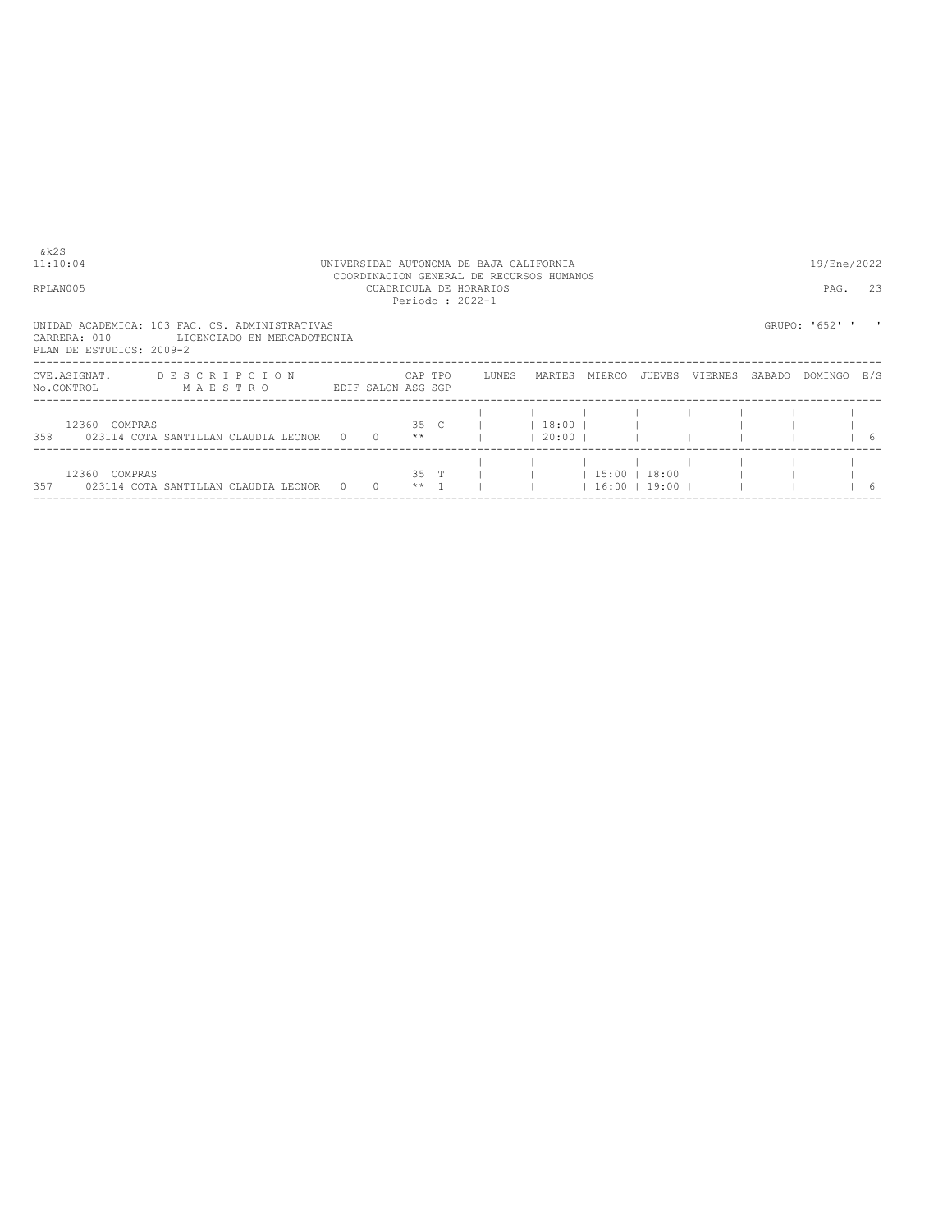| &k2S<br>11:10:04<br>RPLAN005             | UNIVERSIDAD AUTONOMA DE BAJA CALIFORNIA<br>COORDINACION GENERAL DE RECURSOS HUMANOS<br>CUADRICULA DE HORARIOS<br>Periodo: 2022-1 |  |                |         |  |                            |                     |                                 |         |         |        |                | 19/Ene/2022<br>PAG.<br>23 |
|------------------------------------------|----------------------------------------------------------------------------------------------------------------------------------|--|----------------|---------|--|----------------------------|---------------------|---------------------------------|---------|---------|--------|----------------|---------------------------|
| CARRERA: 010<br>PLAN DE ESTUDIOS: 2009-2 | UNIDAD ACADEMICA: 103 FAC. CS. ADMINISTRATIVAS<br>LICENCIADO EN MERCADOTECNIA                                                    |  |                |         |  |                            |                     |                                 |         |         |        | GRUPO: '652' ' |                           |
| CVE.ASIGNAT.<br>No.CONTROL               | DESCRIPCION<br>MAESTRO<br>EDIF SALON ASG SGP                                                                                     |  |                | CAP TPO |  | LUNES                      | MARTES              | MIERCO                          | JUEVES  | VIERNES | SABADO | DOMINGO E/S    |                           |
| 12360 COMPRAS                            | 358 023114 COTA SANTILLAN CLAUDIA LEONOR 0 0 **                                                                                  |  |                |         |  | $35 \quad C \qquad \qquad$ | $18:00$  <br> 20:00 |                                 |         |         |        |                | 16                        |
| 12360 COMPRAS                            | 357 023114 COTA SANTILLAN CLAUDIA LEONOR 0                                                                                       |  | $\overline{0}$ | $***$ 1 |  | $35$ T $\qquad$            |                     | 15:00 <br>$\vert$ 16:00   19:00 | $18:00$ |         |        |                | -6                        |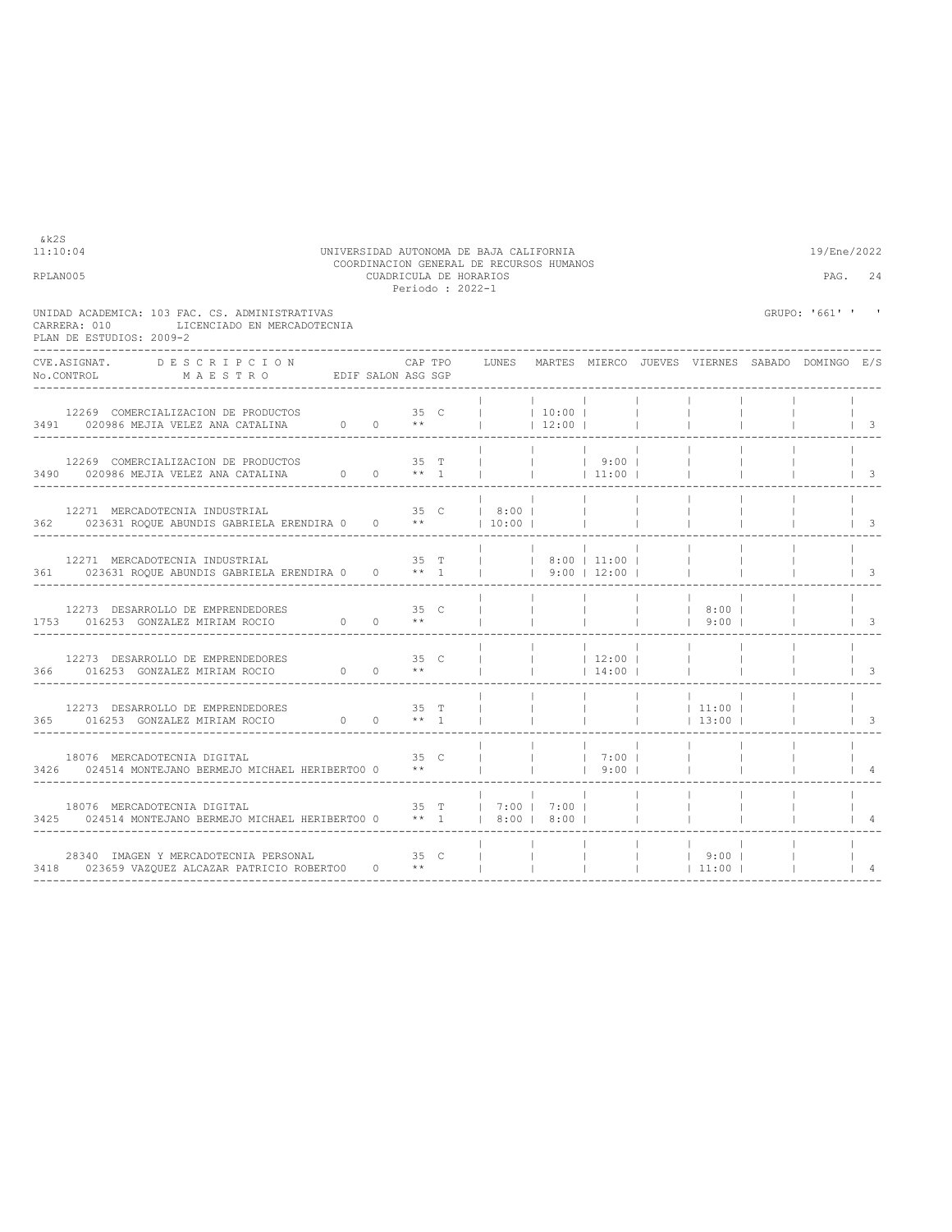|                                          |                                                                                                      |                 | Periodo : 2022-1      |  |                |                                       |                          |                    |                                                 |                          |
|------------------------------------------|------------------------------------------------------------------------------------------------------|-----------------|-----------------------|--|----------------|---------------------------------------|--------------------------|--------------------|-------------------------------------------------|--------------------------|
| CARRERA: 010<br>PLAN DE ESTUDIOS: 2009-2 | UNIDAD ACADEMICA: 103 FAC. CS. ADMINISTRATIVAS<br>LICENCIADO EN MERCADOTECNIA                        |                 |                       |  |                |                                       |                          |                    | GRUPO: '661' ' '                                |                          |
|                                          | CVE.ASIGNAT. DESCRIPCION<br>NO.CONTROL MAESTRO EDIF SALON ASG SGP                                    |                 | CAP TPO               |  | LUNES          |                                       |                          |                    | MARTES MIERCO JUEVES VIERNES SABADO DOMINGO E/S |                          |
|                                          |                                                                                                      |                 |                       |  |                | $ $ 10:00  <br>$12:00$                |                          |                    |                                                 | $\overline{\phantom{a}}$ |
|                                          | 12269 COMERCIALIZACION DE PRODUCTOS $3490$ 020986 MEJIA VELEZ ANA CATALINA $0$ 0 ** 1                |                 |                       |  | <b>College</b> | $ $ 9:00                              | 11:00                    |                    |                                                 | $\overline{\phantom{a}}$ |
|                                          | 12271 MERCADOTECNIA INDUSTRIAL<br>362 023631 ROOUE ABUNDIS GABRIELA ERENDIRA 0 0 **   10:00          |                 | 35 C                  |  | 8:00           |                                       |                          |                    |                                                 | 3                        |
|                                          | 12271 MERCADOTECNIA INDUSTRIAL<br>361 023631 ROOUE ABUNDIS GABRIELA ERENDIRA 0 0 ** 1   9:00   12:00 |                 | 35 T                  |  |                | $ $ $ $ $ $ 8:00 $ $ 11:00 $ $        |                          |                    |                                                 | 3                        |
|                                          | 12273 DESARROLLO DE EMPRENDEDORES<br>1753 016253 GONZALEZ MIRIAM ROCIO $0$ 0 **                      |                 | 35 C                  |  |                | <b>Contractor</b>                     | <b>Contract Contract</b> | 8:00  <br>$ $ 9:00 |                                                 | $\overline{\mathbf{3}}$  |
|                                          | 12273 DESARROLLO DE EMPRENDEDORES<br>366 016253 GONZALEZ MIRIAM ROCIO 0                              | 35 <sub>C</sub> | $0 \times$            |  |                | <b>Contractor</b><br>$\mathbf{1}$     | 12:00 <br>$14:00$        |                    |                                                 | $\overline{\phantom{a}}$ |
|                                          | 12273 DESARROLLO DE EMPRENDEDORES<br>365 016253 GONZALEZ MIRIAM ROCIO 0 0 ** 1                       |                 | 35 T                  |  |                |                                       |                          | 11:00 <br> 13:00   |                                                 | $\overline{\phantom{a}}$ |
|                                          | 18076 MERCADOTECNIA DIGITAL<br>3426 024514 MONTEJANO BERMEJO MICHAEL HERIBERTOO 0                    |                 | 35 C<br>$\star \star$ |  |                |                                       | $1 \t7:00 \t1$<br> 9:00  |                    |                                                 | $\overline{4}$           |
|                                          | 18076 MERCADOTECNIA DIGITAL<br>3425 024514 MONTEJANO BERMEJO MICHAEL HERIBERTOO 0 ** 1               |                 |                       |  |                | 35 T   7:00   7:00  <br>  8:00   8:00 |                          |                    |                                                 |                          |
|                                          | 28340 IMAGEN Y MERCADOTECNIA PERSONAL<br>3418 023659 VAZQUEZ ALCAZAR PATRICIO ROBERTO0 0 **          |                 | 35 C                  |  |                | and the contract of the contract of   |                          | 9:00 <br> 11:00    |                                                 | $\overline{4}$           |

11:10:04 UNIVERSIDAD AUTONOMA DE BAJA CALIFORNIA 19/Ene/2022 COORDINACION GENERAL DE RECURSOS HUMANOS RPLAN005 CUADRICULA DE HORARIOS PAG. 24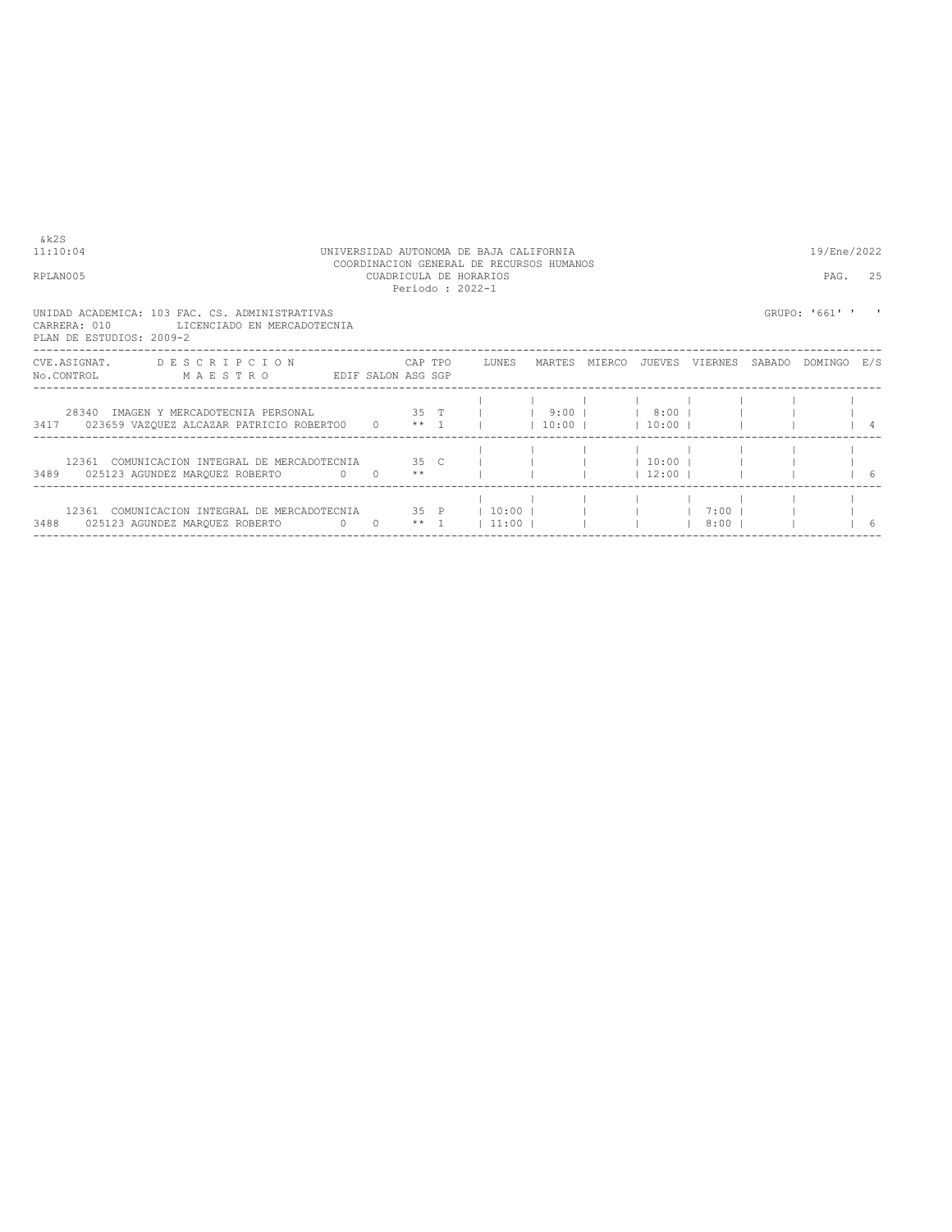| $\&k2S$<br>11:10:04<br>UNIVERSIDAD AUTONOMA DE BAJA CALIFORNIA<br>COORDINACION GENERAL DE RECURSOS HUMANOS                     |                                           |  |  |  |  |  |  |  | 19/Ene/2022               |  |                |     |
|--------------------------------------------------------------------------------------------------------------------------------|-------------------------------------------|--|--|--|--|--|--|--|---------------------------|--|----------------|-----|
| RPLAN005                                                                                                                       | CUADRICULA DE HORARIOS<br>Periodo: 2022-1 |  |  |  |  |  |  |  |                           |  | PAG.           | 25  |
| UNIDAD ACADEMICA: 103 FAC. CS. ADMINISTRATIVAS<br>CARRERA: 010<br>LICENCIADO EN MERCADOTECNIA<br>PLAN DE ESTUDIOS: 2009-2      |                                           |  |  |  |  |  |  |  |                           |  | GRUPO: '661' ' |     |
| CVE.ASIGNAT. DESCRIPCION CAPTPO LUNES MARTES MIERCO JUEVES VIERNES SABADO DOMINGO E/S<br>No.CONTROL MAESTRO EDIF SALON ASG SGP |                                           |  |  |  |  |  |  |  |                           |  |                |     |
| 28340 IMAGEN Y MERCADOTECNIA PERSONAL 35 T     9:00     8:00                                                                   |                                           |  |  |  |  |  |  |  |                           |  |                |     |
| 12361 COMUNICACION INTEGRAL DE MERCADOTECNIA 35 C           10:00        <br>3489 025123 AGUNDEZ MARQUEZ ROBERTO 0 0 **        |                                           |  |  |  |  |  |  |  | $12:00$ $1$ $1$ $1$ $1$ 6 |  |                |     |
| 12361 COMUNICACION INTEGRAL DE MERCADOTECNIA 35 P   10:00             7:00                                                     |                                           |  |  |  |  |  |  |  |                           |  |                | - 6 |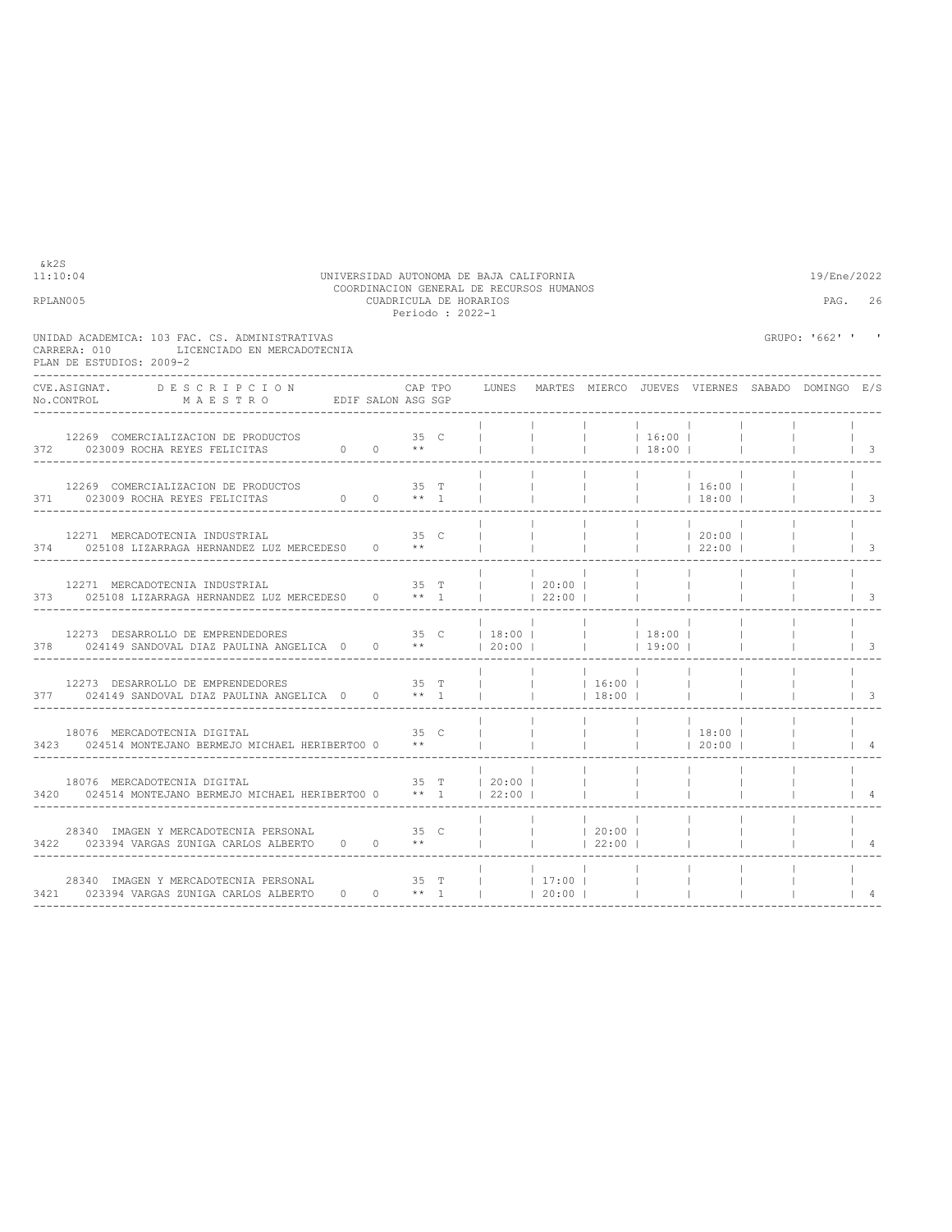| UNIDAD ACADEMICA: 103 FAC. CS. ADMINISTRATIVAS<br>LICENCIADO EN MERCADOTECNIA<br>CARRERA: 010<br>PLAN DE ESTUDIOS: 2009-2                                                                                                         | GRUPO: '662' ' '         |
|-----------------------------------------------------------------------------------------------------------------------------------------------------------------------------------------------------------------------------------|--------------------------|
|                                                                                                                                                                                                                                   |                          |
| <b>DESCRIPCION</b><br>CVE.ASIGNAT.<br>CAP TPO<br>LUNES MARTES MIERCO JUEVES VIERNES SABADO DOMINGO E/S<br>MAESTRO EDIFSALON ASG SGP<br>No.CONTROL                                                                                 |                          |
| 12269 COMERCIALIZACION DE PRODUCTOS 35 C<br><b>College College</b><br>$1 \t16:00 \t1$<br>$\mathbb{R}$<br>372 023009 ROCHA REYES FELICITAS $0$ 0 **<br> 18:00                                                                      | $\vert$ 3                |
| $35$ T<br>$ $ 16:00  <br>12269 COMERCIALIZACION DE PRODUCTOS<br>$\begin{matrix}0&0&\star\star&1\end{matrix}$<br>371 023009 ROCHA REYES FELICITAS<br> 18:00                                                                        | $\vert$ 3                |
| 35 C<br>$ $ 20:00  <br>12271 MERCADOTECNIA INDUSTRIAL<br>$\Box$<br>$0 \longrightarrow$ **<br>374 025108 LIZARRAGA HERNANDEZ LUZ MERCEDES0<br><b>Contract Contract</b><br> 22:00                                                   | $\overline{\phantom{a}}$ |
| 35 T<br>$\begin{array}{ccccccc}   & &   & 20:00 &   \\   & &   & 22:00 &   \end{array}$<br>12271 MERCADOTECNIA INDUSTRIAL<br><b>Contract</b><br>373 025108 LIZARRAGA HERNANDEZ LUZ MERCEDES0 0 ** 1<br>$\sim$ 1.                  | $\overline{\mathbf{3}}$  |
| $ 18:00 $ $ 18:00 $                                                                                                                                                                                                               | $\mathcal{S}$            |
| 16:00  <br>$\mathbb{R}$<br>377 024149 SANDOVAL DIAZ PAULINA ANGELICA 0 0 ** 1<br>$18:00$ 1                                                                                                                                        | $\overline{\mathbf{3}}$  |
| <b>Contract</b><br><b>Contract</b><br>the process of<br> 18:00 <br>18076 MERCADOTECNIA DIGITAL<br>35 C<br>$\Box$<br>$***$<br>$\sim$ 1<br>3423 024514 MONTEJANO BERMEJO MICHAEL HERIBERTOO 0<br><b>Contract Contract</b><br> 20:00 | $\overline{4}$           |
| 35 T   20:00  <br>18076 MERCADOTECNIA DIGITAL<br>$\mathbb{R}$<br>$\Box$<br>3420 024514 MONTEJANO BERMEJO MICHAEL HERIBERTOO 0 ** 1   22:00                                                                                        |                          |
| 28340 IMAGEN Y MERCADOTECNIA PERSONAL<br>$ $ 1 20:00 1<br>35 C<br>3422 023394 VARGAS ZUNIGA CARLOS ALBERTO 0 0 **<br> 22:00                                                                                                       |                          |
| 28340 IMAGEN Y MERCADOTECNIA PERSONAL<br>35 T<br>$ $ 17:00  <br>$\sim$ 1.<br>3421 023394 VARGAS ZUNIGA CARLOS ALBERTO 0 0 ** 1<br>$120:00$ $1$                                                                                    |                          |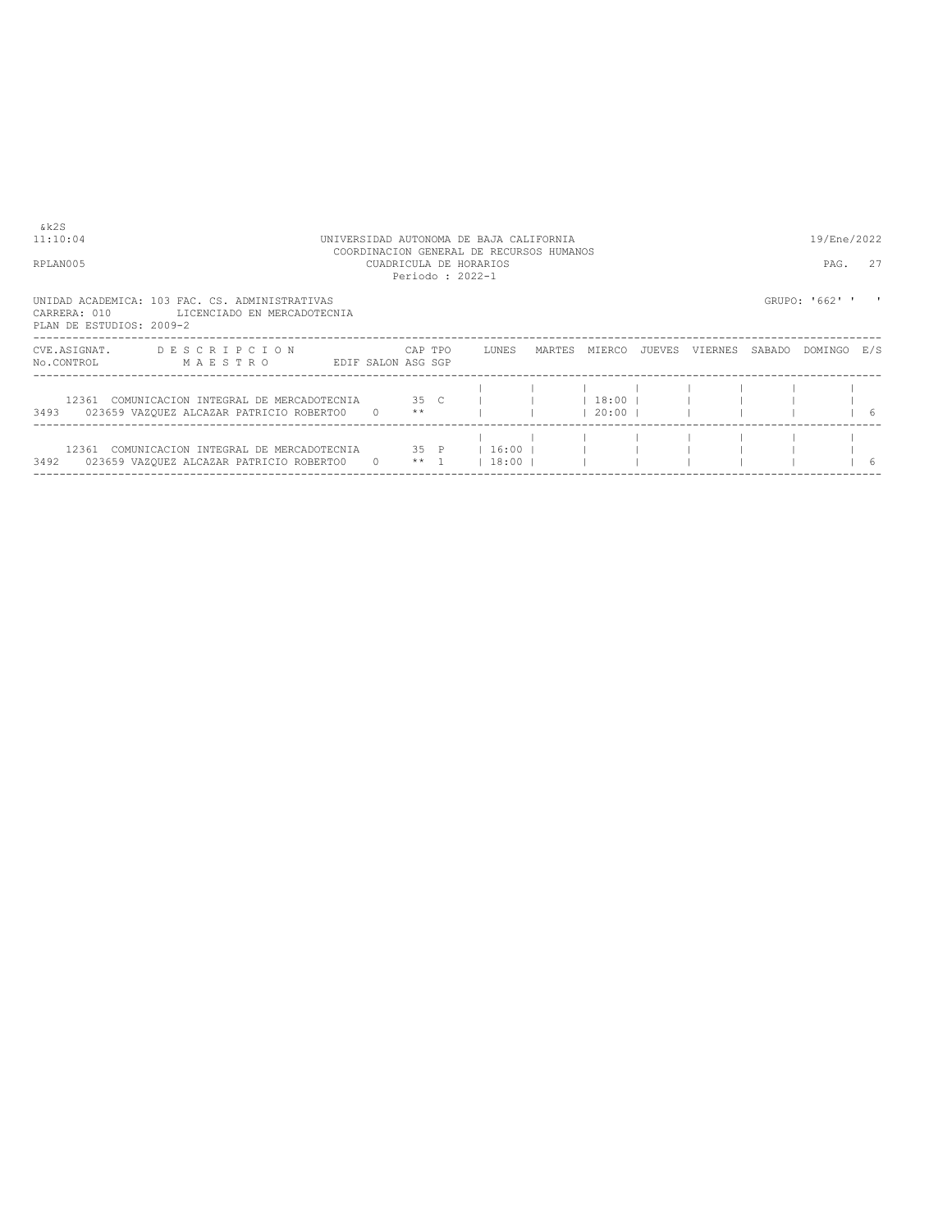COORDINACION GENERAL DE RECURSOS HUMANOS RPLAN005 CUADRICULA DE HORARIOS PAG. 27 Periodo : 2022-1

11:10:04 UNIVERSIDAD AUTONOMA DE BAJA CALIFORNIA 19/Ene/2022

UNIDAD ACADEMICA: 103 FAC. CS. ADMINISTRATIVAS<br>CARRERA: 010 LICENCIADO EN MERCADOTECNIA<br>PLAN DE ESTUDIOS: 2009-2

| CVE.ASIGNAT.<br>No.CONTROL | <b>DESCRIPCION</b><br>MAESTRO                                                      | EDIF SALON ASG SGP | CAP TPO         | LUNES              | MARTES | MTERCO                 | JUEVES | VIERNES | SABADO | DOMINGO | E/S |
|----------------------------|------------------------------------------------------------------------------------|--------------------|-----------------|--------------------|--------|------------------------|--------|---------|--------|---------|-----|
| 12361<br>3493              | COMUNICACION INTEGRAL DE MERCADOTECNIA<br>023659 VAZQUEZ ALCAZAR PATRICIO ROBERTOO |                    | 35 C<br>$* *$   |                    |        | l 18:00 l<br>$20:00$ 1 |        |         |        |         | 6   |
| 12361<br>3492              | COMUNICACION INTEGRAL DE MERCADOTECNIA<br>023659 VAZQUEZ ALCAZAR PATRICIO ROBERTOO |                    | 35 P<br>$***$ 1 | $16:00$ l<br>18:00 |        |                        |        |         |        |         | 6   |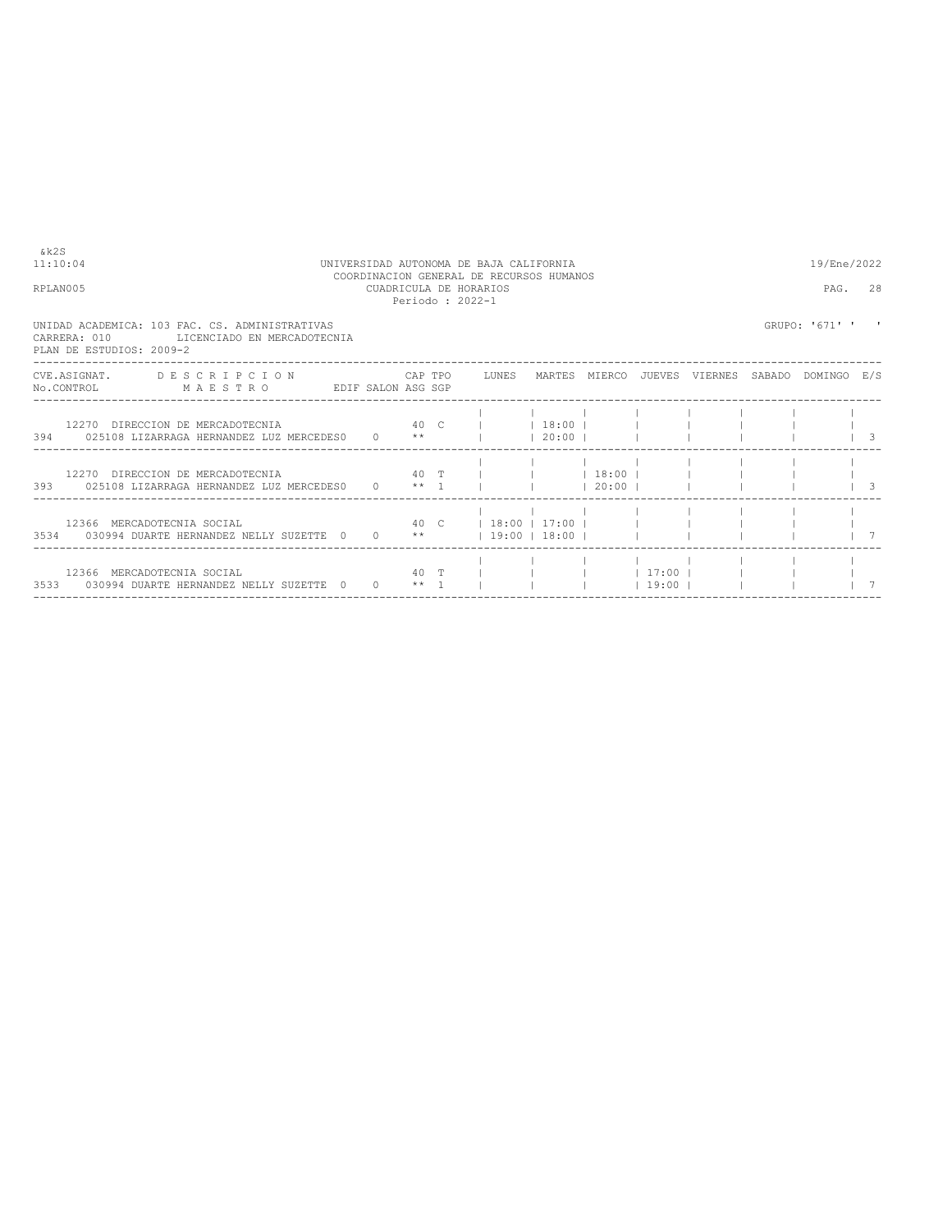| & k2S<br>11:10:04<br>RPLAN005 |                                                                                                                                | UNIVERSIDAD AUTONOMA DE BAJA CALIFORNIA | COORDINACION GENERAL DE RECURSOS HUMANOS<br>CUADRICULA DE HORARIOS | Periodo: 2022-1 | 19/Ene/2022<br>PAG. 28                   |              |             |         |  |                |            |
|-------------------------------|--------------------------------------------------------------------------------------------------------------------------------|-----------------------------------------|--------------------------------------------------------------------|-----------------|------------------------------------------|--------------|-------------|---------|--|----------------|------------|
|                               | UNIDAD ACADEMICA: 103 FAC. CS. ADMINISTRATIVAS<br>CARRERA: 010<br>LICENCIADO EN MERCADOTECNIA<br>PLAN DE ESTUDIOS: 2009-2      |                                         |                                                                    |                 |                                          |              |             |         |  | GRUPO: '671' ' |            |
|                               | CVE.ASIGNAT. DESCRIPCION CAPTPO LUNES MARTES MIERCO JUEVES VIERNES SABADO DOMINGO E/S<br>No.CONTROL MAESTRO EDIF SALON ASG SGP |                                         |                                                                    |                 |                                          |              |             |         |  |                |            |
|                               | 12270 DIRECCION DE MERCADOTECNIA<br>394 025108 LIZARRAGA HERNANDEZ LUZ MERCEDES0 0 **                                          | 40 C   18:00                            |                                                                    |                 |                                          | $120:00$ $1$ |             |         |  |                | $\sqrt{3}$ |
|                               | 393 025108 LIZARRAGA HERNANDEZ LUZ MERCEDES0 0 ** 1 l                                                                          |                                         |                                                                    |                 |                                          |              | $120:00$ 1  |         |  |                | $\vert$ 3  |
|                               | 12366 MERCADOTECNIA SOCIAL<br>3534 030994 DUARTE HERNANDEZ NELLY SUZETTE 0                                                     |                                         | $0 \times \star$                                                   |                 | 40 C 1 3:00 1 17:00 1<br>$19:00$   18:00 |              |             |         |  |                |            |
|                               | 12366 MERCADOTECNIA SOCIAL<br>3533 030994 DUARTE HERNANDEZ NELLY SUZETTE 0                                                     |                                         | $0 * * 1$                                                          | 40 T            |                                          |              | $1$ 17:00 1 | $19:00$ |  |                |            |